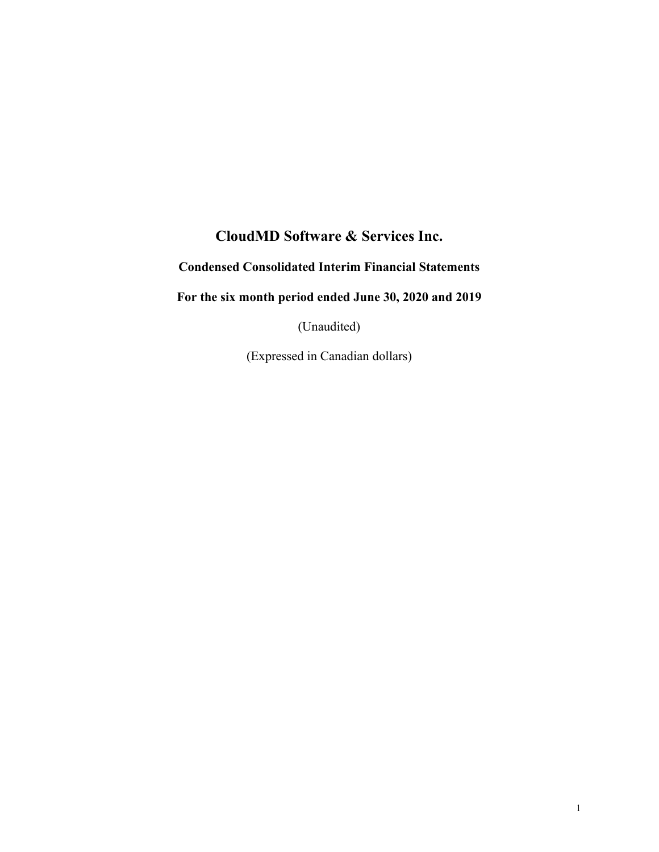# **CloudMD Software & Services Inc.**

# **Condensed Consolidated Interim Financial Statements**

## **For the six month period ended June 30, 2020 and 2019**

(Unaudited)

(Expressed in Canadian dollars)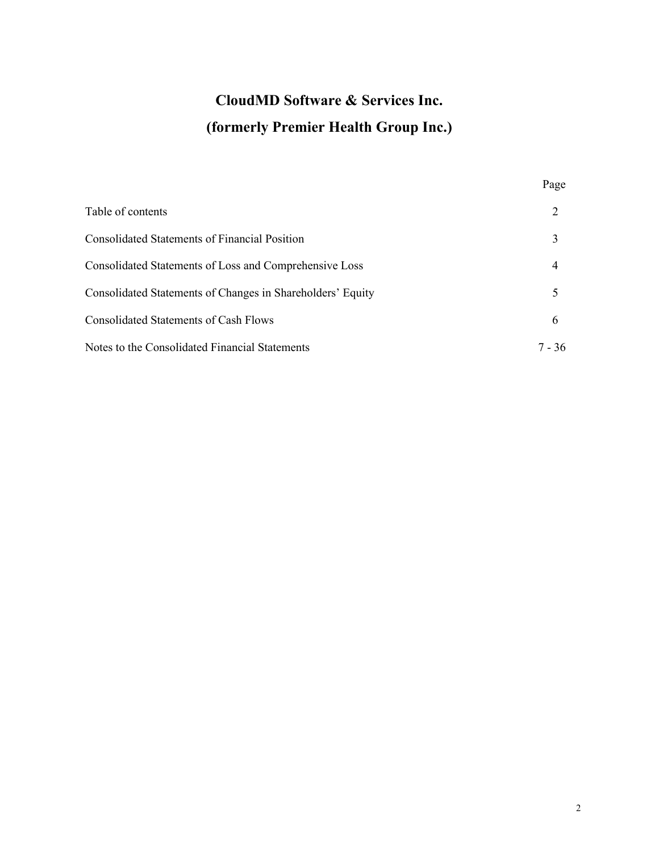# **CloudMD Software & Services Inc. (formerly Premier Health Group Inc.)**

|                                                            | Page   |
|------------------------------------------------------------|--------|
| Table of contents                                          |        |
| <b>Consolidated Statements of Financial Position</b>       | 3      |
| Consolidated Statements of Loss and Comprehensive Loss     | 4      |
| Consolidated Statements of Changes in Shareholders' Equity |        |
| <b>Consolidated Statements of Cash Flows</b>               | 6      |
| Notes to the Consolidated Financial Statements             | 7 - 36 |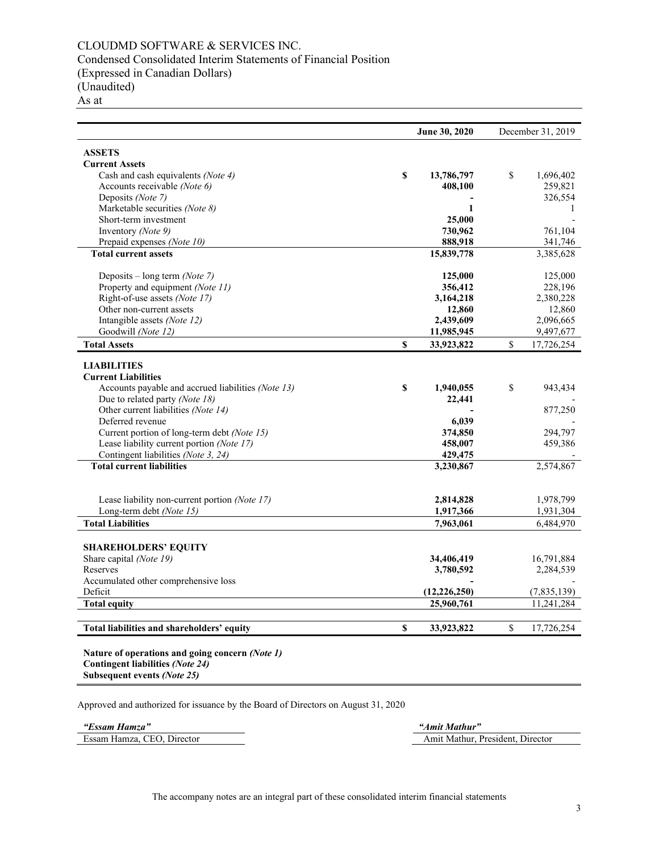## CLOUDMD SOFTWARE & SERVICES INC. Condensed Consolidated Interim Statements of Financial Position (Expressed in Canadian Dollars) (Unaudited)

As at

| <b>ASSETS</b><br><b>Current Assets</b><br>Cash and cash equivalents (Note 4)<br>Accounts receivable (Note 6) |                  |              |             |
|--------------------------------------------------------------------------------------------------------------|------------------|--------------|-------------|
|                                                                                                              |                  |              |             |
|                                                                                                              |                  |              |             |
|                                                                                                              | \$<br>13,786,797 | \$           | 1,696,402   |
|                                                                                                              | 408,100          |              | 259,821     |
| Deposits (Note 7)                                                                                            |                  |              | 326,554     |
| Marketable securities (Note 8)                                                                               | 1                |              |             |
| Short-term investment                                                                                        | 25,000           |              |             |
| Inventory (Note 9)                                                                                           | 730,962          |              | 761,104     |
| Prepaid expenses (Note 10)                                                                                   | 888,918          |              | 341,746     |
| <b>Total current assets</b>                                                                                  | 15,839,778       |              | 3,385,628   |
| Deposits – long term (Note 7)                                                                                | 125,000          |              | 125,000     |
| Property and equipment (Note 11)                                                                             | 356,412          |              | 228,196     |
| Right-of-use assets (Note 17)                                                                                | 3,164,218        |              | 2,380,228   |
| Other non-current assets                                                                                     | 12,860           |              | 12,860      |
| Intangible assets (Note 12)                                                                                  | 2,439,609        |              | 2,096,665   |
| Goodwill (Note 12)                                                                                           | 11,985,945       |              | 9,497,677   |
| <b>Total Assets</b>                                                                                          | \$<br>33,923,822 | \$           | 17,726,254  |
| <b>LIABILITIES</b>                                                                                           |                  |              |             |
| <b>Current Liabilities</b>                                                                                   |                  |              |             |
| Accounts payable and accrued liabilities (Note 13)                                                           | \$<br>1,940,055  | \$           | 943,434     |
| Due to related party (Note 18)                                                                               | 22,441           |              |             |
| Other current liabilities (Note 14)                                                                          |                  |              | 877,250     |
| Deferred revenue                                                                                             | 6,039            |              |             |
| Current portion of long-term debt (Note 15)                                                                  | 374,850          |              | 294,797     |
| Lease liability current portion (Note 17)                                                                    | 458,007          |              | 459,386     |
| Contingent liabilities (Note 3, 24)                                                                          | 429,475          |              |             |
| <b>Total current liabilities</b>                                                                             | 3,230,867        |              | 2,574,867   |
|                                                                                                              |                  |              |             |
| Lease liability non-current portion (Note 17)                                                                | 2,814,828        |              | 1,978,799   |
| Long-term debt (Note 15)                                                                                     | 1,917,366        |              | 1,931,304   |
| <b>Total Liabilities</b>                                                                                     | 7,963,061        |              | 6,484,970   |
| <b>SHAREHOLDERS' EQUITY</b>                                                                                  |                  |              |             |
| Share capital (Note 19)                                                                                      | 34,406,419       |              | 16,791,884  |
| Reserves                                                                                                     | 3,780,592        |              | 2,284,539   |
| Accumulated other comprehensive loss                                                                         |                  |              |             |
| Deficit                                                                                                      | (12, 226, 250)   |              | (7,835,139) |
| <b>Total equity</b>                                                                                          | 25,960,761       |              | 11,241,284  |
| Total liabilities and shareholders' equity                                                                   | \$<br>33,923,822 | $\mathbb{S}$ | 17,726,254  |

Approved and authorized for issuance by the Board of Directors on August 31, 2020

*"Essam Hamza" "Amit Mathur"*  Amit Mathur, President, Director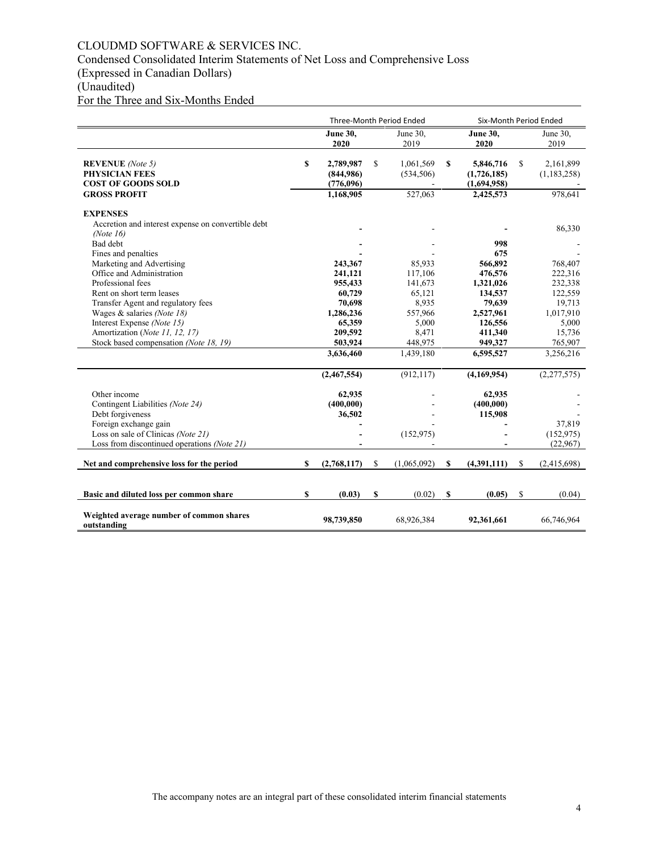## CLOUDMD SOFTWARE & SERVICES INC.

Condensed Consolidated Interim Statements of Net Loss and Comprehensive Loss (Expressed in Canadian Dollars)

(Unaudited)

For the Three and Six-Months Ended

|                                                                               |    | Three-Month Period Ended            |   |                         | Six-Month Period Ended |                                         |    |                          |  |  |
|-------------------------------------------------------------------------------|----|-------------------------------------|---|-------------------------|------------------------|-----------------------------------------|----|--------------------------|--|--|
|                                                                               |    | <b>June 30,</b><br>2020             |   | June 30,<br>2019        |                        | <b>June 30,</b><br>2020                 |    | June 30,<br>2019         |  |  |
| <b>REVENUE</b> (Note 5)<br><b>PHYSICIAN FEES</b><br><b>COST OF GOODS SOLD</b> | \$ | 2,789,987<br>(844,986)<br>(776,096) | S | 1,061,569<br>(534, 506) | S                      | 5,846,716<br>(1,726,185)<br>(1,694,958) | S  | 2,161,899<br>(1,183,258) |  |  |
| <b>GROSS PROFIT</b>                                                           |    | 1,168,905                           |   | 527,063                 |                        | 2,425,573                               |    | 978,641                  |  |  |
| <b>EXPENSES</b>                                                               |    |                                     |   |                         |                        |                                         |    |                          |  |  |
| Accretion and interest expense on convertible debt<br>(Note 16)               |    |                                     |   |                         |                        |                                         |    | 86,330                   |  |  |
| Bad debt                                                                      |    |                                     |   |                         |                        | 998                                     |    |                          |  |  |
| Fines and penalties                                                           |    |                                     |   |                         |                        | 675                                     |    |                          |  |  |
| Marketing and Advertising                                                     |    | 243,367                             |   | 85,933                  |                        | 566,892                                 |    | 768,407                  |  |  |
| Office and Administration                                                     |    | 241,121                             |   | 117,106                 |                        | 476,576                                 |    | 222,316                  |  |  |
| Professional fees<br>Rent on short term leases                                |    | 955,433                             |   | 141,673                 |                        | 1,321,026                               |    | 232,338                  |  |  |
| Transfer Agent and regulatory fees                                            |    | 60,729<br>70,698                    |   | 65,121<br>8,935         |                        | 134,537<br>79,639                       |    | 122,559<br>19,713        |  |  |
| Wages & salaries (Note 18)                                                    |    | 1,286,236                           |   | 557,966                 |                        | 2,527,961                               |    | 1,017,910                |  |  |
| Interest Expense (Note 15)                                                    |    | 65,359                              |   | 5,000                   |                        | 126,556                                 |    | 5,000                    |  |  |
| Amortization (Note 11, 12, 17)                                                |    | 209,592                             |   | 8,471                   |                        | 411,340                                 |    | 15,736                   |  |  |
| Stock based compensation (Note 18, 19)                                        |    | 503,924                             |   | 448,975                 |                        | 949,327                                 |    | 765,907                  |  |  |
|                                                                               |    | 3,636,460                           |   | 1,439,180               |                        | 6,595,527                               |    | 3,256,216                |  |  |
|                                                                               |    | (2,467,554)                         |   | (912, 117)              |                        | (4,169,954)                             |    | (2,277,575)              |  |  |
|                                                                               |    |                                     |   |                         |                        |                                         |    |                          |  |  |
| Other income                                                                  |    | 62,935                              |   |                         |                        | 62,935                                  |    |                          |  |  |
| Contingent Liabilities (Note 24)                                              |    | (400,000)                           |   |                         |                        | (400,000)                               |    |                          |  |  |
| Debt forgiveness                                                              |    | 36,502                              |   |                         |                        | 115,908                                 |    |                          |  |  |
| Foreign exchange gain                                                         |    |                                     |   |                         |                        |                                         |    | 37,819                   |  |  |
| Loss on sale of Clinicas (Note 21)                                            |    |                                     |   | (152, 975)              |                        |                                         |    | (152, 975)               |  |  |
| Loss from discontinued operations (Note 21)                                   |    |                                     |   |                         |                        |                                         |    | (22,967)                 |  |  |
| Net and comprehensive loss for the period                                     | S  | (2,768,117)                         | S | (1,065,092)             | \$                     | (4,391,111)                             | \$ | (2,415,698)              |  |  |
|                                                                               |    |                                     |   |                         |                        |                                         |    |                          |  |  |
| Basic and diluted loss per common share                                       | \$ | (0.03)                              | S | (0.02)                  | $\mathbf{s}$           | (0.05)                                  | \$ | (0.04)                   |  |  |
| Weighted average number of common shares<br>outstanding                       |    | 98,739,850                          |   | 68,926,384              |                        | 92,361,661                              |    | 66,746,964               |  |  |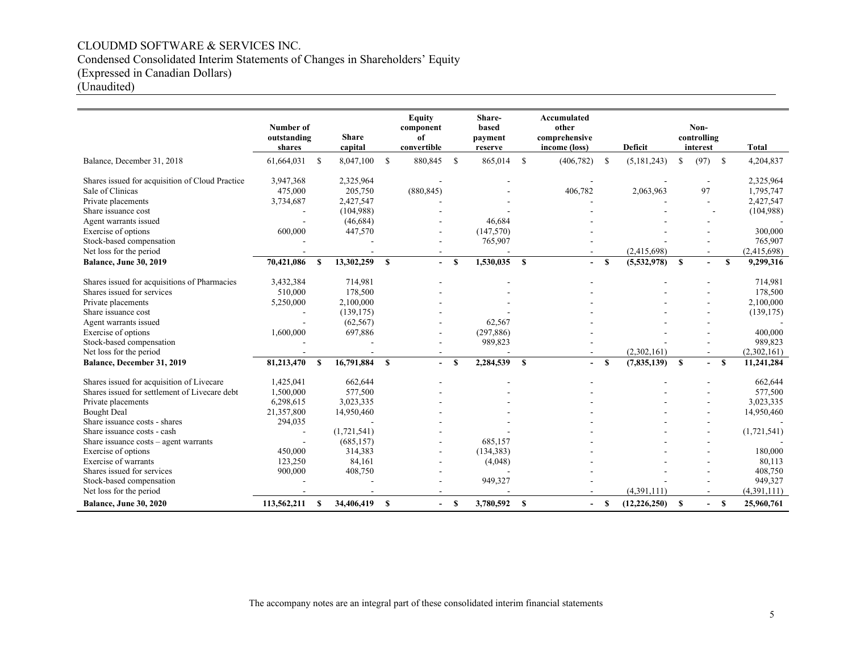## CLOUDMD SOFTWARE & SERVICES INC. Condensed Consolidated Interim Statements of Changes in Shareholders' Equity (Expressed in Canadian Dollars) (Unaudited)

|                                                                     | Number of<br>outstanding<br>shares |              | <b>Share</b><br>capital |              | <b>Equity</b><br>component<br>of<br>convertible |              | Share-<br>based<br>payment<br>reserve |              | Accumulated<br>other<br>comprehensive<br>income (loss) |              | <b>Deficit</b> |              | Non-<br>controlling<br>interest |              | <b>Total</b>           |
|---------------------------------------------------------------------|------------------------------------|--------------|-------------------------|--------------|-------------------------------------------------|--------------|---------------------------------------|--------------|--------------------------------------------------------|--------------|----------------|--------------|---------------------------------|--------------|------------------------|
| Balance, December 31, 2018                                          | 61,664,031                         | <sup>S</sup> | 8,047,100               | $\mathbb{S}$ | 880,845                                         | -S           | 865,014                               | $\mathbb{S}$ | (406, 782)                                             | -S           | (5,181,243)    | \$.          | (97)                            | $\mathbf S$  | 4,204,837              |
| Shares issued for acquisition of Cloud Practice<br>Sale of Clinicas | 3,947,368<br>475,000               |              | 2,325,964<br>205,750    |              | (880, 845)                                      |              |                                       |              | 406,782                                                |              | 2,063,963      |              | 97                              |              | 2,325,964<br>1,795,747 |
| Private placements                                                  | 3,734,687                          |              | 2,427,547               |              |                                                 |              |                                       |              |                                                        |              |                |              |                                 |              | 2,427,547              |
| Share issuance cost                                                 |                                    |              | (104,988)               |              |                                                 |              |                                       |              |                                                        |              |                |              |                                 |              | (104,988)              |
| Agent warrants issued                                               |                                    |              | (46, 684)               |              |                                                 |              | 46,684                                |              |                                                        |              |                |              |                                 |              |                        |
| Exercise of options                                                 | 600,000                            |              | 447,570                 |              |                                                 |              | (147,570)                             |              |                                                        |              |                |              |                                 |              | 300,000                |
| Stock-based compensation                                            |                                    |              |                         |              |                                                 |              | 765,907                               |              |                                                        |              |                |              |                                 |              | 765,907                |
| Net loss for the period                                             |                                    |              |                         |              |                                                 |              |                                       |              |                                                        |              | (2,415,698)    |              |                                 |              | (2,415,698)            |
| <b>Balance, June 30, 2019</b>                                       | 70,421,086                         | $\mathbf{s}$ | 13,302,259              | $\mathbf{s}$ | $\overline{\phantom{0}}$                        | $\mathbf{s}$ | 1,530,035                             | <b>S</b>     |                                                        | $\mathbf{s}$ | (5,532,978)    | $\mathbf{s}$ |                                 | \$.          | 9,299,316              |
| Shares issued for acquisitions of Pharmacies                        | 3,432,384                          |              | 714,981                 |              |                                                 |              |                                       |              |                                                        |              |                |              |                                 |              | 714,981                |
| Shares issued for services                                          | 510,000                            |              | 178,500                 |              |                                                 |              |                                       |              |                                                        |              |                |              |                                 |              | 178,500                |
| Private placements                                                  | 5,250,000                          |              | 2,100,000               |              |                                                 |              |                                       |              |                                                        |              |                |              |                                 |              | 2,100,000              |
| Share issuance cost                                                 |                                    |              | (139, 175)              |              |                                                 |              |                                       |              |                                                        |              |                |              |                                 |              | (139, 175)             |
| Agent warrants issued                                               |                                    |              | (62, 567)               |              |                                                 |              | 62,567                                |              |                                                        |              |                |              |                                 |              |                        |
| Exercise of options                                                 | 1,600,000                          |              | 697,886                 |              |                                                 |              | (297, 886)                            |              |                                                        |              |                |              |                                 |              | 400,000                |
| Stock-based compensation                                            |                                    |              |                         |              |                                                 |              | 989,823                               |              |                                                        |              |                |              |                                 |              | 989,823                |
| Net loss for the period                                             |                                    |              |                         |              | ۰                                               |              |                                       |              |                                                        |              | (2,302,161)    |              | $\overline{\phantom{a}}$        |              | (2,302,161)            |
| Balance, December 31, 2019                                          | 81,213,470                         | - \$         | 16,791,884              | $\mathbf s$  | $\blacksquare$                                  | -S           | 2,284,539                             | $\mathbf{s}$ | $\sim$                                                 | S            | (7,835,139)    | S            |                                 | $\mathbf{s}$ | 11,241,284             |
| Shares issued for acquisition of Livecare                           | 1,425,041                          |              | 662,644                 |              |                                                 |              |                                       |              |                                                        |              |                |              |                                 |              | 662,644                |
| Shares issued for settlement of Livecare debt                       | 1.500.000                          |              | 577,500                 |              |                                                 |              |                                       |              |                                                        |              |                |              |                                 |              | 577,500                |
| Private placements                                                  | 6,298,615                          |              | 3,023,335               |              |                                                 |              |                                       |              |                                                        |              |                |              |                                 |              | 3,023,335              |
| <b>Bought Deal</b>                                                  | 21,357,800                         |              | 14,950,460              |              |                                                 |              |                                       |              |                                                        |              |                |              |                                 |              | 14,950,460             |
| Share issuance costs - shares                                       | 294,035                            |              |                         |              |                                                 |              |                                       |              |                                                        |              |                |              |                                 |              |                        |
| Share issuance costs - cash                                         |                                    |              | (1,721,541)             |              |                                                 |              |                                       |              |                                                        |              |                |              |                                 |              | (1,721,541)            |
| Share issuance costs - agent warrants                               |                                    |              | (685, 157)              |              |                                                 |              | 685,157                               |              |                                                        |              |                |              |                                 |              |                        |
| Exercise of options                                                 | 450,000                            |              | 314,383                 |              |                                                 |              | (134, 383)                            |              |                                                        |              |                |              |                                 |              | 180,000                |
| Exercise of warrants                                                | 123,250                            |              | 84,161                  |              |                                                 |              | (4,048)                               |              |                                                        |              |                |              |                                 |              | 80,113                 |
| Shares issued for services                                          | 900,000                            |              | 408,750                 |              |                                                 |              |                                       |              |                                                        |              |                |              |                                 |              | 408,750                |
| Stock-based compensation                                            |                                    |              |                         |              |                                                 |              | 949,327                               |              |                                                        |              |                |              |                                 |              | 949,327                |
| Net loss for the period                                             |                                    |              |                         |              |                                                 |              |                                       |              |                                                        |              | (4,391,111)    |              |                                 |              | (4,391,111)            |
| <b>Balance, June 30, 2020</b>                                       | 113,562,211                        | -S           | 34,406,419              | $\mathbf{s}$ | $\blacksquare$                                  | $\mathbf{s}$ | 3,780,592                             | $\mathbf{s}$ | $\mathbf{r}$                                           | -S           | (12, 226, 250) | S            |                                 | <sup>S</sup> | 25,960,761             |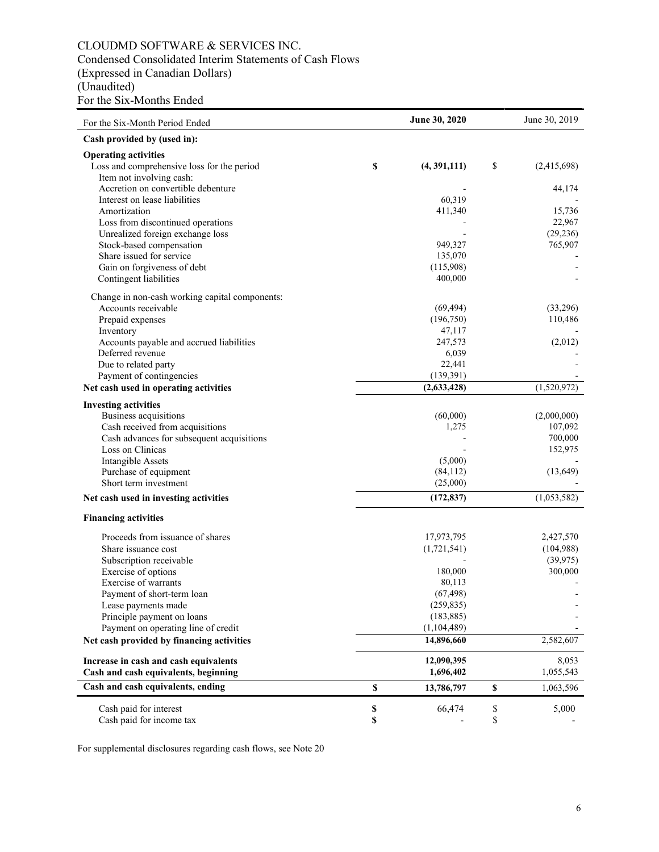## CLOUDMD SOFTWARE & SERVICES INC. Condensed Consolidated Interim Statements of Cash Flows (Expressed in Canadian Dollars) (Unaudited) For the Six-Months Ended

| Cash provided by (used in):<br><b>Operating activities</b><br>\$<br>Loss and comprehensive loss for the period<br>\$<br>(4, 391, 111)<br>(2,415,698)<br>Item not involving cash:<br>Accretion on convertible debenture<br>44,174<br>60,319<br>Interest on lease liabilities<br>15,736<br>Amortization<br>411,340<br>22,967<br>Loss from discontinued operations<br>(29, 236)<br>Unrealized foreign exchange loss<br>Stock-based compensation<br>949,327<br>765,907<br>Share issued for service<br>135,070<br>Gain on forgiveness of debt<br>(115,908)<br>Contingent liabilities<br>400,000<br>Change in non-cash working capital components:<br>Accounts receivable<br>(69, 494)<br>(33,296)<br>(196,750)<br>110,486<br>Prepaid expenses<br>47,117<br>Inventory<br>Accounts payable and accrued liabilities<br>247,573<br>(2,012)<br>Deferred revenue<br>6,039<br>22,441<br>Due to related party<br>Payment of contingencies<br>(139,391)<br>Net cash used in operating activities<br>(1,520,972)<br>(2,633,428)<br><b>Investing activities</b><br>(60,000)<br>(2,000,000)<br><b>Business acquisitions</b><br>Cash received from acquisitions<br>107,092<br>1,275<br>700,000<br>Cash advances for subsequent acquisitions<br>Loss on Clinicas<br>152,975<br>(5,000)<br>Intangible Assets<br>Purchase of equipment<br>(84, 112)<br>(13, 649)<br>Short term investment<br>(25,000)<br>(172, 837)<br>(1,053,582)<br>Net cash used in investing activities<br><b>Financing activities</b><br>Proceeds from issuance of shares<br>17,973,795<br>2,427,570<br>Share issuance cost<br>(1,721,541)<br>(104,988)<br>Subscription receivable<br>(39, 975)<br>300,000<br>Exercise of options<br>180,000<br>Exercise of warrants<br>80,113<br>(67, 498)<br>Payment of short-term loan<br>(259, 835)<br>Lease payments made<br>(183, 885)<br>Principle payment on loans<br>Payment on operating line of credit<br>(1,104,489)<br>Net cash provided by financing activities<br>14,896,660<br>2,582,607<br>12,090,395<br>8,053<br>Increase in cash and cash equivalents<br>1,696,402<br>1,055,543<br>Cash and cash equivalents, beginning<br>Cash and cash equivalents, ending<br>\$<br>\$<br>13,786,797<br>1,063,596<br>Cash paid for interest<br>\$<br>66,474<br>\$<br>5,000<br>\$<br>\$<br>Cash paid for income tax | For the Six-Month Period Ended |  | June 30, 2019 |  |
|---------------------------------------------------------------------------------------------------------------------------------------------------------------------------------------------------------------------------------------------------------------------------------------------------------------------------------------------------------------------------------------------------------------------------------------------------------------------------------------------------------------------------------------------------------------------------------------------------------------------------------------------------------------------------------------------------------------------------------------------------------------------------------------------------------------------------------------------------------------------------------------------------------------------------------------------------------------------------------------------------------------------------------------------------------------------------------------------------------------------------------------------------------------------------------------------------------------------------------------------------------------------------------------------------------------------------------------------------------------------------------------------------------------------------------------------------------------------------------------------------------------------------------------------------------------------------------------------------------------------------------------------------------------------------------------------------------------------------------------------------------------------------------------------------------------------------------------------------------------------------------------------------------------------------------------------------------------------------------------------------------------------------------------------------------------------------------------------------------------------------------------------------------------------------------------------------------------------------------------------------------------------------------------------------------|--------------------------------|--|---------------|--|
|                                                                                                                                                                                                                                                                                                                                                                                                                                                                                                                                                                                                                                                                                                                                                                                                                                                                                                                                                                                                                                                                                                                                                                                                                                                                                                                                                                                                                                                                                                                                                                                                                                                                                                                                                                                                                                                                                                                                                                                                                                                                                                                                                                                                                                                                                                         |                                |  |               |  |
|                                                                                                                                                                                                                                                                                                                                                                                                                                                                                                                                                                                                                                                                                                                                                                                                                                                                                                                                                                                                                                                                                                                                                                                                                                                                                                                                                                                                                                                                                                                                                                                                                                                                                                                                                                                                                                                                                                                                                                                                                                                                                                                                                                                                                                                                                                         |                                |  |               |  |
|                                                                                                                                                                                                                                                                                                                                                                                                                                                                                                                                                                                                                                                                                                                                                                                                                                                                                                                                                                                                                                                                                                                                                                                                                                                                                                                                                                                                                                                                                                                                                                                                                                                                                                                                                                                                                                                                                                                                                                                                                                                                                                                                                                                                                                                                                                         |                                |  |               |  |
|                                                                                                                                                                                                                                                                                                                                                                                                                                                                                                                                                                                                                                                                                                                                                                                                                                                                                                                                                                                                                                                                                                                                                                                                                                                                                                                                                                                                                                                                                                                                                                                                                                                                                                                                                                                                                                                                                                                                                                                                                                                                                                                                                                                                                                                                                                         |                                |  |               |  |
|                                                                                                                                                                                                                                                                                                                                                                                                                                                                                                                                                                                                                                                                                                                                                                                                                                                                                                                                                                                                                                                                                                                                                                                                                                                                                                                                                                                                                                                                                                                                                                                                                                                                                                                                                                                                                                                                                                                                                                                                                                                                                                                                                                                                                                                                                                         |                                |  |               |  |
|                                                                                                                                                                                                                                                                                                                                                                                                                                                                                                                                                                                                                                                                                                                                                                                                                                                                                                                                                                                                                                                                                                                                                                                                                                                                                                                                                                                                                                                                                                                                                                                                                                                                                                                                                                                                                                                                                                                                                                                                                                                                                                                                                                                                                                                                                                         |                                |  |               |  |
|                                                                                                                                                                                                                                                                                                                                                                                                                                                                                                                                                                                                                                                                                                                                                                                                                                                                                                                                                                                                                                                                                                                                                                                                                                                                                                                                                                                                                                                                                                                                                                                                                                                                                                                                                                                                                                                                                                                                                                                                                                                                                                                                                                                                                                                                                                         |                                |  |               |  |
|                                                                                                                                                                                                                                                                                                                                                                                                                                                                                                                                                                                                                                                                                                                                                                                                                                                                                                                                                                                                                                                                                                                                                                                                                                                                                                                                                                                                                                                                                                                                                                                                                                                                                                                                                                                                                                                                                                                                                                                                                                                                                                                                                                                                                                                                                                         |                                |  |               |  |
|                                                                                                                                                                                                                                                                                                                                                                                                                                                                                                                                                                                                                                                                                                                                                                                                                                                                                                                                                                                                                                                                                                                                                                                                                                                                                                                                                                                                                                                                                                                                                                                                                                                                                                                                                                                                                                                                                                                                                                                                                                                                                                                                                                                                                                                                                                         |                                |  |               |  |
|                                                                                                                                                                                                                                                                                                                                                                                                                                                                                                                                                                                                                                                                                                                                                                                                                                                                                                                                                                                                                                                                                                                                                                                                                                                                                                                                                                                                                                                                                                                                                                                                                                                                                                                                                                                                                                                                                                                                                                                                                                                                                                                                                                                                                                                                                                         |                                |  |               |  |
|                                                                                                                                                                                                                                                                                                                                                                                                                                                                                                                                                                                                                                                                                                                                                                                                                                                                                                                                                                                                                                                                                                                                                                                                                                                                                                                                                                                                                                                                                                                                                                                                                                                                                                                                                                                                                                                                                                                                                                                                                                                                                                                                                                                                                                                                                                         |                                |  |               |  |
|                                                                                                                                                                                                                                                                                                                                                                                                                                                                                                                                                                                                                                                                                                                                                                                                                                                                                                                                                                                                                                                                                                                                                                                                                                                                                                                                                                                                                                                                                                                                                                                                                                                                                                                                                                                                                                                                                                                                                                                                                                                                                                                                                                                                                                                                                                         |                                |  |               |  |
|                                                                                                                                                                                                                                                                                                                                                                                                                                                                                                                                                                                                                                                                                                                                                                                                                                                                                                                                                                                                                                                                                                                                                                                                                                                                                                                                                                                                                                                                                                                                                                                                                                                                                                                                                                                                                                                                                                                                                                                                                                                                                                                                                                                                                                                                                                         |                                |  |               |  |
|                                                                                                                                                                                                                                                                                                                                                                                                                                                                                                                                                                                                                                                                                                                                                                                                                                                                                                                                                                                                                                                                                                                                                                                                                                                                                                                                                                                                                                                                                                                                                                                                                                                                                                                                                                                                                                                                                                                                                                                                                                                                                                                                                                                                                                                                                                         |                                |  |               |  |
|                                                                                                                                                                                                                                                                                                                                                                                                                                                                                                                                                                                                                                                                                                                                                                                                                                                                                                                                                                                                                                                                                                                                                                                                                                                                                                                                                                                                                                                                                                                                                                                                                                                                                                                                                                                                                                                                                                                                                                                                                                                                                                                                                                                                                                                                                                         |                                |  |               |  |
|                                                                                                                                                                                                                                                                                                                                                                                                                                                                                                                                                                                                                                                                                                                                                                                                                                                                                                                                                                                                                                                                                                                                                                                                                                                                                                                                                                                                                                                                                                                                                                                                                                                                                                                                                                                                                                                                                                                                                                                                                                                                                                                                                                                                                                                                                                         |                                |  |               |  |
|                                                                                                                                                                                                                                                                                                                                                                                                                                                                                                                                                                                                                                                                                                                                                                                                                                                                                                                                                                                                                                                                                                                                                                                                                                                                                                                                                                                                                                                                                                                                                                                                                                                                                                                                                                                                                                                                                                                                                                                                                                                                                                                                                                                                                                                                                                         |                                |  |               |  |
|                                                                                                                                                                                                                                                                                                                                                                                                                                                                                                                                                                                                                                                                                                                                                                                                                                                                                                                                                                                                                                                                                                                                                                                                                                                                                                                                                                                                                                                                                                                                                                                                                                                                                                                                                                                                                                                                                                                                                                                                                                                                                                                                                                                                                                                                                                         |                                |  |               |  |
|                                                                                                                                                                                                                                                                                                                                                                                                                                                                                                                                                                                                                                                                                                                                                                                                                                                                                                                                                                                                                                                                                                                                                                                                                                                                                                                                                                                                                                                                                                                                                                                                                                                                                                                                                                                                                                                                                                                                                                                                                                                                                                                                                                                                                                                                                                         |                                |  |               |  |
|                                                                                                                                                                                                                                                                                                                                                                                                                                                                                                                                                                                                                                                                                                                                                                                                                                                                                                                                                                                                                                                                                                                                                                                                                                                                                                                                                                                                                                                                                                                                                                                                                                                                                                                                                                                                                                                                                                                                                                                                                                                                                                                                                                                                                                                                                                         |                                |  |               |  |
|                                                                                                                                                                                                                                                                                                                                                                                                                                                                                                                                                                                                                                                                                                                                                                                                                                                                                                                                                                                                                                                                                                                                                                                                                                                                                                                                                                                                                                                                                                                                                                                                                                                                                                                                                                                                                                                                                                                                                                                                                                                                                                                                                                                                                                                                                                         |                                |  |               |  |
|                                                                                                                                                                                                                                                                                                                                                                                                                                                                                                                                                                                                                                                                                                                                                                                                                                                                                                                                                                                                                                                                                                                                                                                                                                                                                                                                                                                                                                                                                                                                                                                                                                                                                                                                                                                                                                                                                                                                                                                                                                                                                                                                                                                                                                                                                                         |                                |  |               |  |
|                                                                                                                                                                                                                                                                                                                                                                                                                                                                                                                                                                                                                                                                                                                                                                                                                                                                                                                                                                                                                                                                                                                                                                                                                                                                                                                                                                                                                                                                                                                                                                                                                                                                                                                                                                                                                                                                                                                                                                                                                                                                                                                                                                                                                                                                                                         |                                |  |               |  |
|                                                                                                                                                                                                                                                                                                                                                                                                                                                                                                                                                                                                                                                                                                                                                                                                                                                                                                                                                                                                                                                                                                                                                                                                                                                                                                                                                                                                                                                                                                                                                                                                                                                                                                                                                                                                                                                                                                                                                                                                                                                                                                                                                                                                                                                                                                         |                                |  |               |  |
|                                                                                                                                                                                                                                                                                                                                                                                                                                                                                                                                                                                                                                                                                                                                                                                                                                                                                                                                                                                                                                                                                                                                                                                                                                                                                                                                                                                                                                                                                                                                                                                                                                                                                                                                                                                                                                                                                                                                                                                                                                                                                                                                                                                                                                                                                                         |                                |  |               |  |
|                                                                                                                                                                                                                                                                                                                                                                                                                                                                                                                                                                                                                                                                                                                                                                                                                                                                                                                                                                                                                                                                                                                                                                                                                                                                                                                                                                                                                                                                                                                                                                                                                                                                                                                                                                                                                                                                                                                                                                                                                                                                                                                                                                                                                                                                                                         |                                |  |               |  |
|                                                                                                                                                                                                                                                                                                                                                                                                                                                                                                                                                                                                                                                                                                                                                                                                                                                                                                                                                                                                                                                                                                                                                                                                                                                                                                                                                                                                                                                                                                                                                                                                                                                                                                                                                                                                                                                                                                                                                                                                                                                                                                                                                                                                                                                                                                         |                                |  |               |  |
|                                                                                                                                                                                                                                                                                                                                                                                                                                                                                                                                                                                                                                                                                                                                                                                                                                                                                                                                                                                                                                                                                                                                                                                                                                                                                                                                                                                                                                                                                                                                                                                                                                                                                                                                                                                                                                                                                                                                                                                                                                                                                                                                                                                                                                                                                                         |                                |  |               |  |
|                                                                                                                                                                                                                                                                                                                                                                                                                                                                                                                                                                                                                                                                                                                                                                                                                                                                                                                                                                                                                                                                                                                                                                                                                                                                                                                                                                                                                                                                                                                                                                                                                                                                                                                                                                                                                                                                                                                                                                                                                                                                                                                                                                                                                                                                                                         |                                |  |               |  |
|                                                                                                                                                                                                                                                                                                                                                                                                                                                                                                                                                                                                                                                                                                                                                                                                                                                                                                                                                                                                                                                                                                                                                                                                                                                                                                                                                                                                                                                                                                                                                                                                                                                                                                                                                                                                                                                                                                                                                                                                                                                                                                                                                                                                                                                                                                         |                                |  |               |  |
|                                                                                                                                                                                                                                                                                                                                                                                                                                                                                                                                                                                                                                                                                                                                                                                                                                                                                                                                                                                                                                                                                                                                                                                                                                                                                                                                                                                                                                                                                                                                                                                                                                                                                                                                                                                                                                                                                                                                                                                                                                                                                                                                                                                                                                                                                                         |                                |  |               |  |
|                                                                                                                                                                                                                                                                                                                                                                                                                                                                                                                                                                                                                                                                                                                                                                                                                                                                                                                                                                                                                                                                                                                                                                                                                                                                                                                                                                                                                                                                                                                                                                                                                                                                                                                                                                                                                                                                                                                                                                                                                                                                                                                                                                                                                                                                                                         |                                |  |               |  |
|                                                                                                                                                                                                                                                                                                                                                                                                                                                                                                                                                                                                                                                                                                                                                                                                                                                                                                                                                                                                                                                                                                                                                                                                                                                                                                                                                                                                                                                                                                                                                                                                                                                                                                                                                                                                                                                                                                                                                                                                                                                                                                                                                                                                                                                                                                         |                                |  |               |  |
|                                                                                                                                                                                                                                                                                                                                                                                                                                                                                                                                                                                                                                                                                                                                                                                                                                                                                                                                                                                                                                                                                                                                                                                                                                                                                                                                                                                                                                                                                                                                                                                                                                                                                                                                                                                                                                                                                                                                                                                                                                                                                                                                                                                                                                                                                                         |                                |  |               |  |
|                                                                                                                                                                                                                                                                                                                                                                                                                                                                                                                                                                                                                                                                                                                                                                                                                                                                                                                                                                                                                                                                                                                                                                                                                                                                                                                                                                                                                                                                                                                                                                                                                                                                                                                                                                                                                                                                                                                                                                                                                                                                                                                                                                                                                                                                                                         |                                |  |               |  |
|                                                                                                                                                                                                                                                                                                                                                                                                                                                                                                                                                                                                                                                                                                                                                                                                                                                                                                                                                                                                                                                                                                                                                                                                                                                                                                                                                                                                                                                                                                                                                                                                                                                                                                                                                                                                                                                                                                                                                                                                                                                                                                                                                                                                                                                                                                         |                                |  |               |  |
|                                                                                                                                                                                                                                                                                                                                                                                                                                                                                                                                                                                                                                                                                                                                                                                                                                                                                                                                                                                                                                                                                                                                                                                                                                                                                                                                                                                                                                                                                                                                                                                                                                                                                                                                                                                                                                                                                                                                                                                                                                                                                                                                                                                                                                                                                                         |                                |  |               |  |
|                                                                                                                                                                                                                                                                                                                                                                                                                                                                                                                                                                                                                                                                                                                                                                                                                                                                                                                                                                                                                                                                                                                                                                                                                                                                                                                                                                                                                                                                                                                                                                                                                                                                                                                                                                                                                                                                                                                                                                                                                                                                                                                                                                                                                                                                                                         |                                |  |               |  |
|                                                                                                                                                                                                                                                                                                                                                                                                                                                                                                                                                                                                                                                                                                                                                                                                                                                                                                                                                                                                                                                                                                                                                                                                                                                                                                                                                                                                                                                                                                                                                                                                                                                                                                                                                                                                                                                                                                                                                                                                                                                                                                                                                                                                                                                                                                         |                                |  |               |  |
|                                                                                                                                                                                                                                                                                                                                                                                                                                                                                                                                                                                                                                                                                                                                                                                                                                                                                                                                                                                                                                                                                                                                                                                                                                                                                                                                                                                                                                                                                                                                                                                                                                                                                                                                                                                                                                                                                                                                                                                                                                                                                                                                                                                                                                                                                                         |                                |  |               |  |
|                                                                                                                                                                                                                                                                                                                                                                                                                                                                                                                                                                                                                                                                                                                                                                                                                                                                                                                                                                                                                                                                                                                                                                                                                                                                                                                                                                                                                                                                                                                                                                                                                                                                                                                                                                                                                                                                                                                                                                                                                                                                                                                                                                                                                                                                                                         |                                |  |               |  |
|                                                                                                                                                                                                                                                                                                                                                                                                                                                                                                                                                                                                                                                                                                                                                                                                                                                                                                                                                                                                                                                                                                                                                                                                                                                                                                                                                                                                                                                                                                                                                                                                                                                                                                                                                                                                                                                                                                                                                                                                                                                                                                                                                                                                                                                                                                         |                                |  |               |  |
|                                                                                                                                                                                                                                                                                                                                                                                                                                                                                                                                                                                                                                                                                                                                                                                                                                                                                                                                                                                                                                                                                                                                                                                                                                                                                                                                                                                                                                                                                                                                                                                                                                                                                                                                                                                                                                                                                                                                                                                                                                                                                                                                                                                                                                                                                                         |                                |  |               |  |
|                                                                                                                                                                                                                                                                                                                                                                                                                                                                                                                                                                                                                                                                                                                                                                                                                                                                                                                                                                                                                                                                                                                                                                                                                                                                                                                                                                                                                                                                                                                                                                                                                                                                                                                                                                                                                                                                                                                                                                                                                                                                                                                                                                                                                                                                                                         |                                |  |               |  |
|                                                                                                                                                                                                                                                                                                                                                                                                                                                                                                                                                                                                                                                                                                                                                                                                                                                                                                                                                                                                                                                                                                                                                                                                                                                                                                                                                                                                                                                                                                                                                                                                                                                                                                                                                                                                                                                                                                                                                                                                                                                                                                                                                                                                                                                                                                         |                                |  |               |  |
|                                                                                                                                                                                                                                                                                                                                                                                                                                                                                                                                                                                                                                                                                                                                                                                                                                                                                                                                                                                                                                                                                                                                                                                                                                                                                                                                                                                                                                                                                                                                                                                                                                                                                                                                                                                                                                                                                                                                                                                                                                                                                                                                                                                                                                                                                                         |                                |  |               |  |
|                                                                                                                                                                                                                                                                                                                                                                                                                                                                                                                                                                                                                                                                                                                                                                                                                                                                                                                                                                                                                                                                                                                                                                                                                                                                                                                                                                                                                                                                                                                                                                                                                                                                                                                                                                                                                                                                                                                                                                                                                                                                                                                                                                                                                                                                                                         |                                |  |               |  |
|                                                                                                                                                                                                                                                                                                                                                                                                                                                                                                                                                                                                                                                                                                                                                                                                                                                                                                                                                                                                                                                                                                                                                                                                                                                                                                                                                                                                                                                                                                                                                                                                                                                                                                                                                                                                                                                                                                                                                                                                                                                                                                                                                                                                                                                                                                         |                                |  |               |  |

For supplemental disclosures regarding cash flows, see Note 20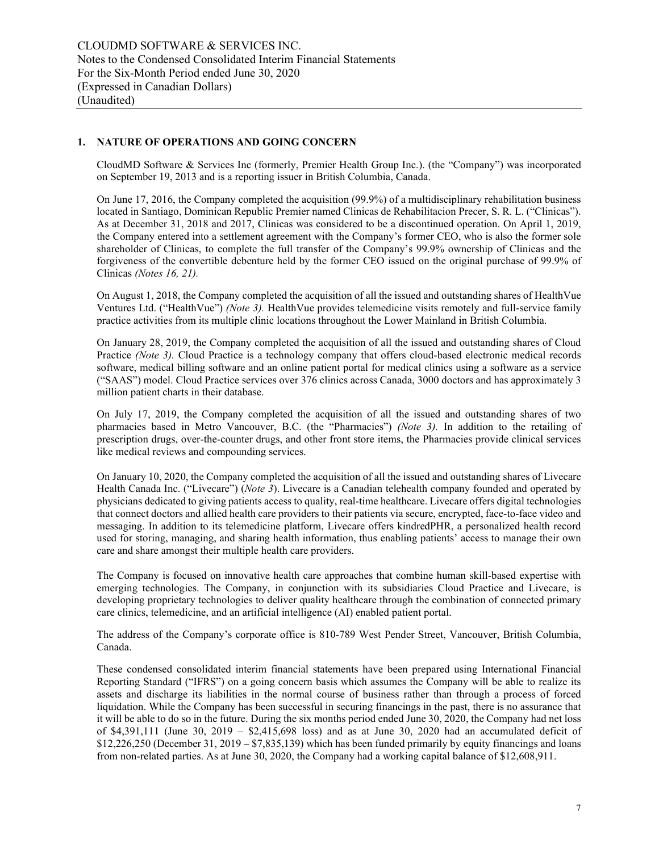## **1. NATURE OF OPERATIONS AND GOING CONCERN**

CloudMD Software & Services Inc (formerly, Premier Health Group Inc.). (the "Company") was incorporated on September 19, 2013 and is a reporting issuer in British Columbia, Canada.

On June 17, 2016, the Company completed the acquisition (99.9%) of a multidisciplinary rehabilitation business located in Santiago, Dominican Republic Premier named Clinicas de Rehabilitacion Precer, S. R. L. ("Clinicas"). As at December 31, 2018 and 2017, Clinicas was considered to be a discontinued operation. On April 1, 2019, the Company entered into a settlement agreement with the Company's former CEO, who is also the former sole shareholder of Clinicas, to complete the full transfer of the Company's 99.9% ownership of Clinicas and the forgiveness of the convertible debenture held by the former CEO issued on the original purchase of 99.9% of Clinicas *(Notes 16, 21).* 

On August 1, 2018, the Company completed the acquisition of all the issued and outstanding shares of HealthVue Ventures Ltd. ("HealthVue") *(Note 3).* HealthVue provides telemedicine visits remotely and full-service family practice activities from its multiple clinic locations throughout the Lower Mainland in British Columbia.

On January 28, 2019, the Company completed the acquisition of all the issued and outstanding shares of Cloud Practice *(Note 3)*. Cloud Practice is a technology company that offers cloud-based electronic medical records software, medical billing software and an online patient portal for medical clinics using a software as a service ("SAAS") model. Cloud Practice services over 376 clinics across Canada, 3000 doctors and has approximately 3 million patient charts in their database.

On July 17, 2019, the Company completed the acquisition of all the issued and outstanding shares of two pharmacies based in Metro Vancouver, B.C. (the "Pharmacies") *(Note 3).* In addition to the retailing of prescription drugs, over-the-counter drugs, and other front store items, the Pharmacies provide clinical services like medical reviews and compounding services.

On January 10, 2020, the Company completed the acquisition of all the issued and outstanding shares of Livecare Health Canada Inc. ("Livecare") (*Note 3*). Livecare is a Canadian telehealth company founded and operated by physicians dedicated to giving patients access to quality, real-time healthcare. Livecare offers digital technologies that connect doctors and allied health care providers to their patients via secure, encrypted, face-to-face video and messaging. In addition to its telemedicine platform, Livecare offers kindredPHR, a personalized health record used for storing, managing, and sharing health information, thus enabling patients' access to manage their own care and share amongst their multiple health care providers.

The Company is focused on innovative health care approaches that combine human skill-based expertise with emerging technologies. The Company, in conjunction with its subsidiaries Cloud Practice and Livecare, is developing proprietary technologies to deliver quality healthcare through the combination of connected primary care clinics, telemedicine, and an artificial intelligence (AI) enabled patient portal.

The address of the Company's corporate office is 810-789 West Pender Street, Vancouver, British Columbia, Canada.

These condensed consolidated interim financial statements have been prepared using International Financial Reporting Standard ("IFRS") on a going concern basis which assumes the Company will be able to realize its assets and discharge its liabilities in the normal course of business rather than through a process of forced liquidation. While the Company has been successful in securing financings in the past, there is no assurance that it will be able to do so in the future. During the six months period ended June 30, 2020, the Company had net loss of \$4,391,111 (June 30, 2019 – \$2,415,698 loss) and as at June 30, 2020 had an accumulated deficit of  $$12,226,250$  (December 31, 2019 –  $$7,835,139$ ) which has been funded primarily by equity financings and loans from non-related parties. As at June 30, 2020, the Company had a working capital balance of \$12,608,911.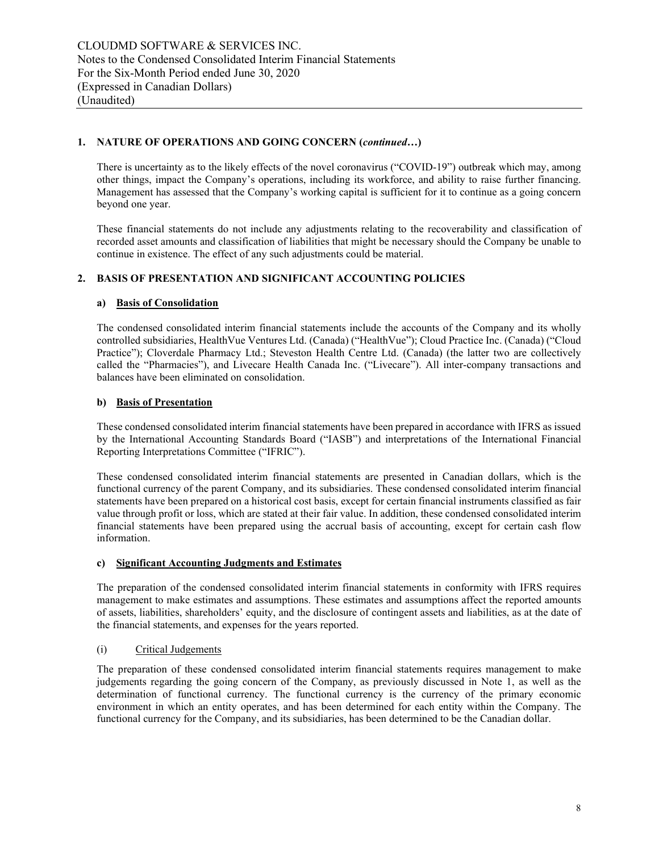## **1. NATURE OF OPERATIONS AND GOING CONCERN (***continued…***)**

There is uncertainty as to the likely effects of the novel coronavirus ("COVID-19") outbreak which may, among other things, impact the Company's operations, including its workforce, and ability to raise further financing. Management has assessed that the Company's working capital is sufficient for it to continue as a going concern beyond one year.

These financial statements do not include any adjustments relating to the recoverability and classification of recorded asset amounts and classification of liabilities that might be necessary should the Company be unable to continue in existence. The effect of any such adjustments could be material.

## **2. BASIS OF PRESENTATION AND SIGNIFICANT ACCOUNTING POLICIES**

#### **a) Basis of Consolidation**

The condensed consolidated interim financial statements include the accounts of the Company and its wholly controlled subsidiaries, HealthVue Ventures Ltd. (Canada) ("HealthVue"); Cloud Practice Inc. (Canada) ("Cloud Practice"); Cloverdale Pharmacy Ltd.; Steveston Health Centre Ltd. (Canada) (the latter two are collectively called the "Pharmacies"), and Livecare Health Canada Inc. ("Livecare"). All inter-company transactions and balances have been eliminated on consolidation.

#### **b) Basis of Presentation**

These condensed consolidated interim financial statements have been prepared in accordance with IFRS as issued by the International Accounting Standards Board ("IASB") and interpretations of the International Financial Reporting Interpretations Committee ("IFRIC").

These condensed consolidated interim financial statements are presented in Canadian dollars, which is the functional currency of the parent Company, and its subsidiaries. These condensed consolidated interim financial statements have been prepared on a historical cost basis, except for certain financial instruments classified as fair value through profit or loss, which are stated at their fair value. In addition, these condensed consolidated interim financial statements have been prepared using the accrual basis of accounting, except for certain cash flow information.

#### **c) Significant Accounting Judgments and Estimates**

The preparation of the condensed consolidated interim financial statements in conformity with IFRS requires management to make estimates and assumptions. These estimates and assumptions affect the reported amounts of assets, liabilities, shareholders' equity, and the disclosure of contingent assets and liabilities, as at the date of the financial statements, and expenses for the years reported.

#### (i) Critical Judgements

The preparation of these condensed consolidated interim financial statements requires management to make judgements regarding the going concern of the Company, as previously discussed in Note 1, as well as the determination of functional currency. The functional currency is the currency of the primary economic environment in which an entity operates, and has been determined for each entity within the Company. The functional currency for the Company, and its subsidiaries, has been determined to be the Canadian dollar.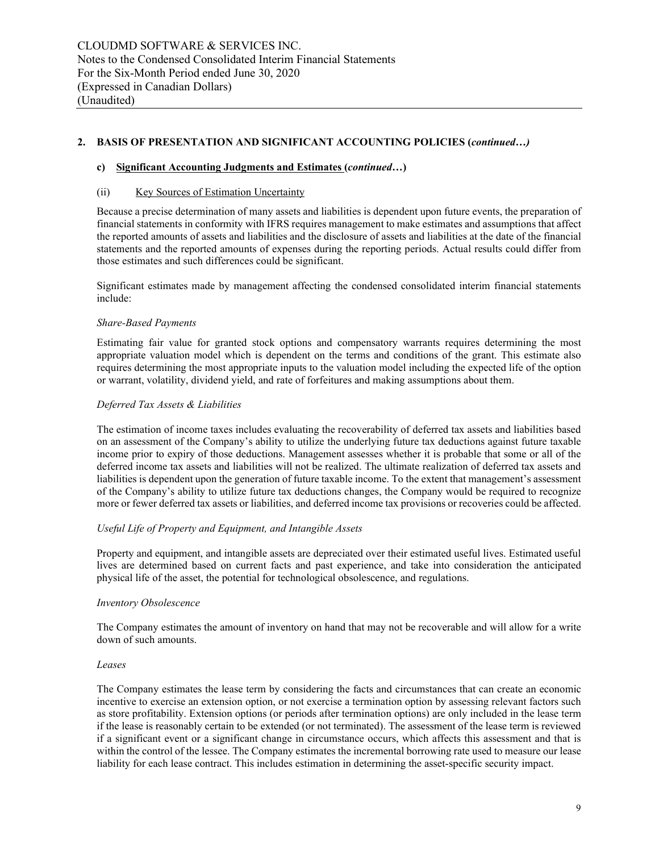## **2. BASIS OF PRESENTATION AND SIGNIFICANT ACCOUNTING POLICIES (***continued…)*

#### **c) Significant Accounting Judgments and Estimates (***continued…***)**

#### (ii) Key Sources of Estimation Uncertainty

Because a precise determination of many assets and liabilities is dependent upon future events, the preparation of financial statements in conformity with IFRS requires management to make estimates and assumptions that affect the reported amounts of assets and liabilities and the disclosure of assets and liabilities at the date of the financial statements and the reported amounts of expenses during the reporting periods. Actual results could differ from those estimates and such differences could be significant.

Significant estimates made by management affecting the condensed consolidated interim financial statements include:

#### *Share-Based Payments*

Estimating fair value for granted stock options and compensatory warrants requires determining the most appropriate valuation model which is dependent on the terms and conditions of the grant. This estimate also requires determining the most appropriate inputs to the valuation model including the expected life of the option or warrant, volatility, dividend yield, and rate of forfeitures and making assumptions about them.

#### *Deferred Tax Assets & Liabilities*

The estimation of income taxes includes evaluating the recoverability of deferred tax assets and liabilities based on an assessment of the Company's ability to utilize the underlying future tax deductions against future taxable income prior to expiry of those deductions. Management assesses whether it is probable that some or all of the deferred income tax assets and liabilities will not be realized. The ultimate realization of deferred tax assets and liabilities is dependent upon the generation of future taxable income. To the extent that management's assessment of the Company's ability to utilize future tax deductions changes, the Company would be required to recognize more or fewer deferred tax assets or liabilities, and deferred income tax provisions or recoveries could be affected.

#### *Useful Life of Property and Equipment, and Intangible Assets*

Property and equipment, and intangible assets are depreciated over their estimated useful lives. Estimated useful lives are determined based on current facts and past experience, and take into consideration the anticipated physical life of the asset, the potential for technological obsolescence, and regulations.

#### *Inventory Obsolescence*

The Company estimates the amount of inventory on hand that may not be recoverable and will allow for a write down of such amounts.

#### *Leases*

The Company estimates the lease term by considering the facts and circumstances that can create an economic incentive to exercise an extension option, or not exercise a termination option by assessing relevant factors such as store profitability. Extension options (or periods after termination options) are only included in the lease term if the lease is reasonably certain to be extended (or not terminated). The assessment of the lease term is reviewed if a significant event or a significant change in circumstance occurs, which affects this assessment and that is within the control of the lessee. The Company estimates the incremental borrowing rate used to measure our lease liability for each lease contract. This includes estimation in determining the asset-specific security impact.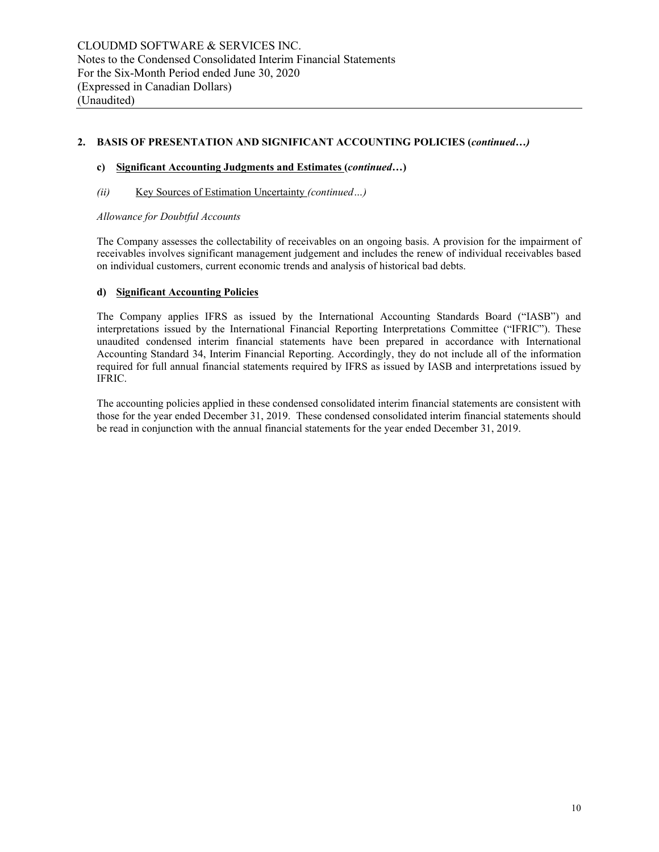## **2. BASIS OF PRESENTATION AND SIGNIFICANT ACCOUNTING POLICIES (***continued…)*

#### **c) Significant Accounting Judgments and Estimates (***continued…***)**

#### *(ii)* Key Sources of Estimation Uncertainty *(continued…)*

*Allowance for Doubtful Accounts*

The Company assesses the collectability of receivables on an ongoing basis. A provision for the impairment of receivables involves significant management judgement and includes the renew of individual receivables based on individual customers, current economic trends and analysis of historical bad debts.

#### **d) Significant Accounting Policies**

The Company applies IFRS as issued by the International Accounting Standards Board ("IASB") and interpretations issued by the International Financial Reporting Interpretations Committee ("IFRIC"). These unaudited condensed interim financial statements have been prepared in accordance with International Accounting Standard 34, Interim Financial Reporting. Accordingly, they do not include all of the information required for full annual financial statements required by IFRS as issued by IASB and interpretations issued by IFRIC.

The accounting policies applied in these condensed consolidated interim financial statements are consistent with those for the year ended December 31, 2019. These condensed consolidated interim financial statements should be read in conjunction with the annual financial statements for the year ended December 31, 2019.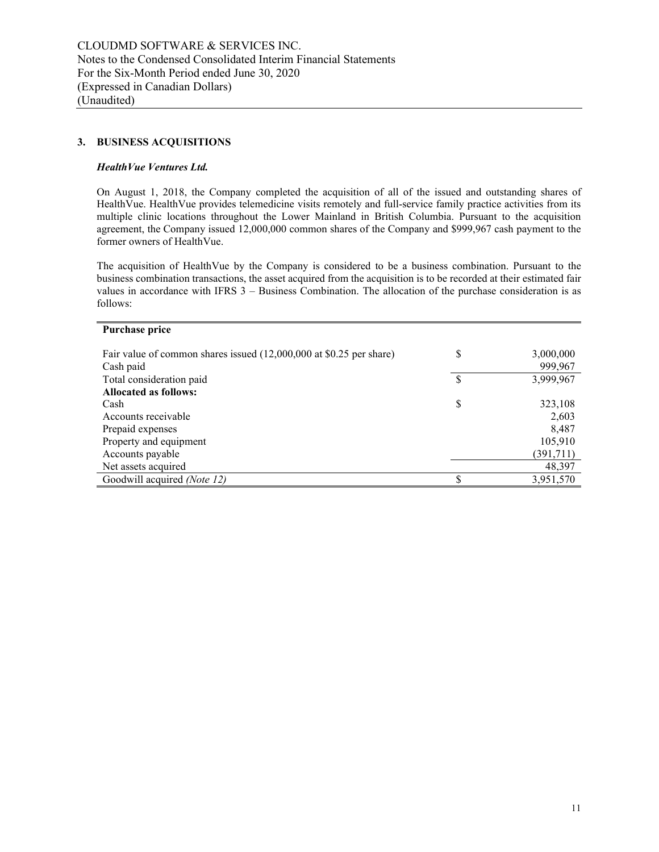### **3. BUSINESS ACQUISITIONS**

#### *HealthVue Ventures Ltd.*

On August 1, 2018, the Company completed the acquisition of all of the issued and outstanding shares of HealthVue. HealthVue provides telemedicine visits remotely and full-service family practice activities from its multiple clinic locations throughout the Lower Mainland in British Columbia. Pursuant to the acquisition agreement, the Company issued 12,000,000 common shares of the Company and \$999,967 cash payment to the former owners of HealthVue.

The acquisition of HealthVue by the Company is considered to be a business combination. Pursuant to the business combination transactions, the asset acquired from the acquisition is to be recorded at their estimated fair values in accordance with IFRS 3 – Business Combination. The allocation of the purchase consideration is as follows:

| Purchase price                                                      |    |           |  |  |  |  |  |
|---------------------------------------------------------------------|----|-----------|--|--|--|--|--|
|                                                                     |    |           |  |  |  |  |  |
| Fair value of common shares issued (12,000,000 at \$0.25 per share) | \$ | 3,000,000 |  |  |  |  |  |
| Cash paid                                                           |    | 999,967   |  |  |  |  |  |
| Total consideration paid                                            | \$ | 3,999,967 |  |  |  |  |  |
| <b>Allocated as follows:</b>                                        |    |           |  |  |  |  |  |
| Cash                                                                | S  | 323,108   |  |  |  |  |  |
| Accounts receivable                                                 |    | 2,603     |  |  |  |  |  |
| Prepaid expenses                                                    |    | 8,487     |  |  |  |  |  |
| Property and equipment                                              |    | 105,910   |  |  |  |  |  |
| Accounts payable                                                    |    | (391,711) |  |  |  |  |  |
| Net assets acquired                                                 |    | 48,397    |  |  |  |  |  |
| Goodwill acquired <i>(Note 12)</i>                                  |    | 3,951,570 |  |  |  |  |  |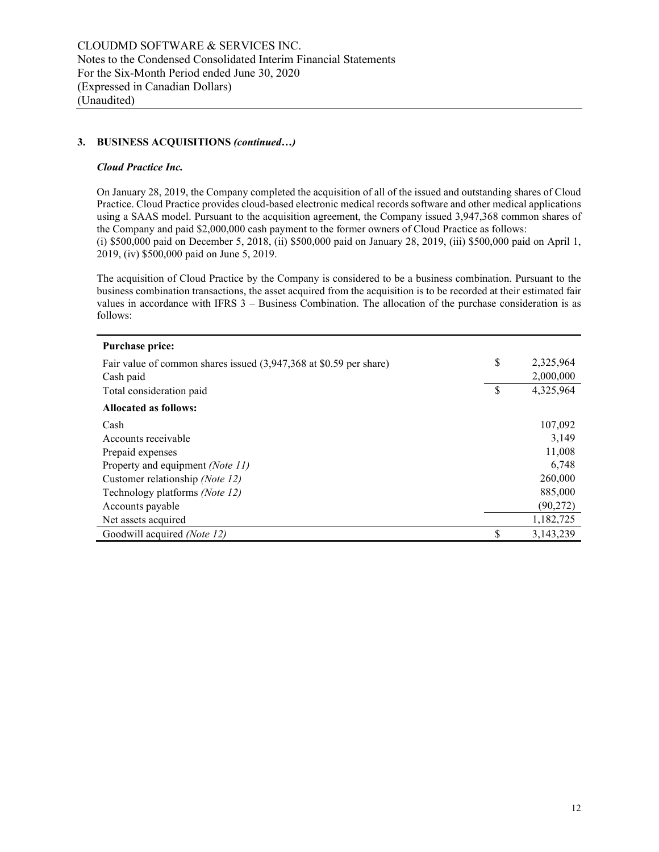#### *Cloud Practice Inc.*

On January 28, 2019, the Company completed the acquisition of all of the issued and outstanding shares of Cloud Practice. Cloud Practice provides cloud-based electronic medical records software and other medical applications using a SAAS model. Pursuant to the acquisition agreement, the Company issued 3,947,368 common shares of the Company and paid \$2,000,000 cash payment to the former owners of Cloud Practice as follows: (i) \$500,000 paid on December 5, 2018, (ii) \$500,000 paid on January 28, 2019, (iii) \$500,000 paid on April 1, 2019, (iv) \$500,000 paid on June 5, 2019.

The acquisition of Cloud Practice by the Company is considered to be a business combination. Pursuant to the business combination transactions, the asset acquired from the acquisition is to be recorded at their estimated fair values in accordance with IFRS 3 – Business Combination. The allocation of the purchase consideration is as follows:

| <b>Purchase price:</b>                                             |                 |
|--------------------------------------------------------------------|-----------------|
| Fair value of common shares issued (3,947,368 at \$0.59 per share) | \$<br>2,325,964 |
| Cash paid                                                          | 2,000,000       |
| Total consideration paid                                           | \$<br>4,325,964 |
| Allocated as follows:                                              |                 |
| Cash                                                               | 107,092         |
| Accounts receivable                                                | 3,149           |
| Prepaid expenses                                                   | 11,008          |
| Property and equipment (Note 11)                                   | 6,748           |
| Customer relationship (Note 12)                                    | 260,000         |
| Technology platforms (Note 12)                                     | 885,000         |
| Accounts payable                                                   | (90, 272)       |
| Net assets acquired                                                | 1,182,725       |
| Goodwill acquired <i>(Note 12)</i>                                 | \$<br>3,143,239 |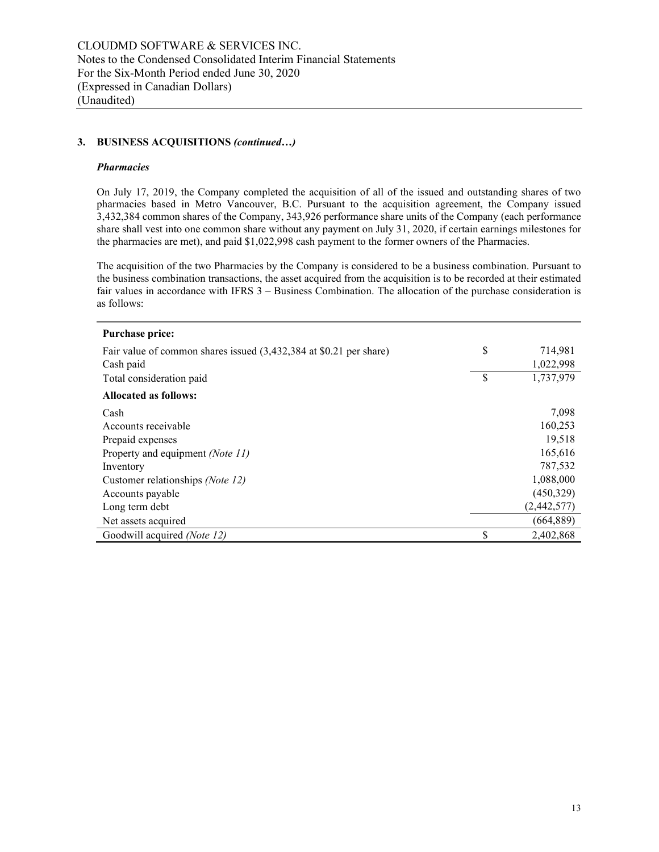#### *Pharmacies*

On July 17, 2019, the Company completed the acquisition of all of the issued and outstanding shares of two pharmacies based in Metro Vancouver, B.C. Pursuant to the acquisition agreement, the Company issued 3,432,384 common shares of the Company, 343,926 performance share units of the Company (each performance share shall vest into one common share without any payment on July 31, 2020, if certain earnings milestones for the pharmacies are met), and paid \$1,022,998 cash payment to the former owners of the Pharmacies.

The acquisition of the two Pharmacies by the Company is considered to be a business combination. Pursuant to the business combination transactions, the asset acquired from the acquisition is to be recorded at their estimated fair values in accordance with IFRS 3 – Business Combination. The allocation of the purchase consideration is as follows:

| <b>Purchase price:</b>                                             |                 |
|--------------------------------------------------------------------|-----------------|
| Fair value of common shares issued (3,432,384 at \$0.21 per share) | \$<br>714,981   |
| Cash paid                                                          | 1,022,998       |
| Total consideration paid                                           | \$<br>1,737,979 |
| <b>Allocated as follows:</b>                                       |                 |
| Cash                                                               | 7,098           |
| Accounts receivable                                                | 160,253         |
| Prepaid expenses                                                   | 19,518          |
| Property and equipment (Note 11)                                   | 165,616         |
| Inventory                                                          | 787,532         |
| Customer relationships (Note 12)                                   | 1,088,000       |
| Accounts payable                                                   | (450,329)       |
| Long term debt                                                     | (2, 442, 577)   |
| Net assets acquired                                                | (664, 889)      |
| Goodwill acquired (Note 12)                                        | \$<br>2,402,868 |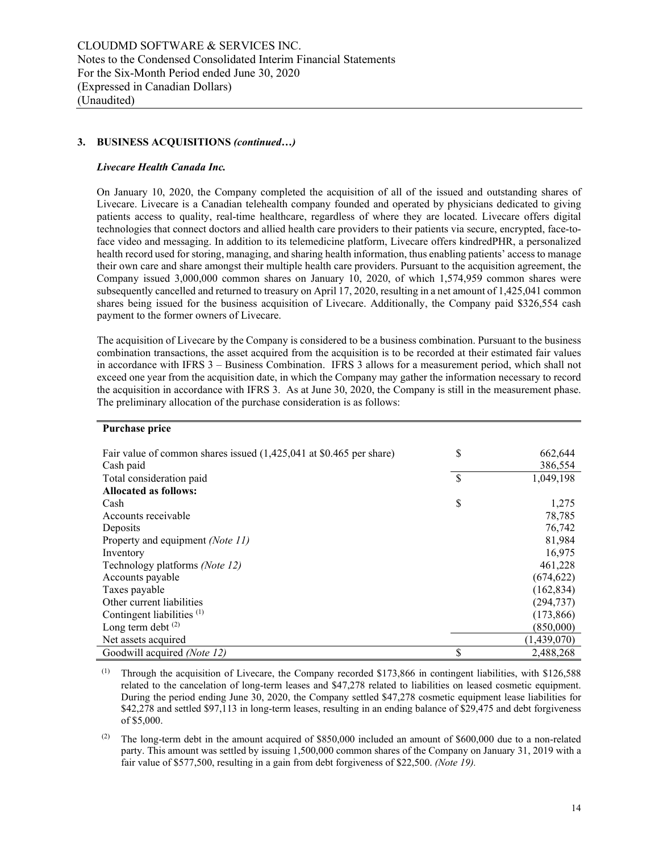#### *Livecare Health Canada Inc.*

On January 10, 2020, the Company completed the acquisition of all of the issued and outstanding shares of Livecare. Livecare is a Canadian telehealth company founded and operated by physicians dedicated to giving patients access to quality, real-time healthcare, regardless of where they are located. Livecare offers digital technologies that connect doctors and allied health care providers to their patients via secure, encrypted, face-toface video and messaging. In addition to its telemedicine platform, Livecare offers kindredPHR, a personalized health record used for storing, managing, and sharing health information, thus enabling patients' access to manage their own care and share amongst their multiple health care providers. Pursuant to the acquisition agreement, the Company issued 3,000,000 common shares on January 10, 2020, of which 1,574,959 common shares were subsequently cancelled and returned to treasury on April 17, 2020, resulting in a net amount of 1,425,041 common shares being issued for the business acquisition of Livecare. Additionally, the Company paid \$326,554 cash payment to the former owners of Livecare.

The acquisition of Livecare by the Company is considered to be a business combination. Pursuant to the business combination transactions, the asset acquired from the acquisition is to be recorded at their estimated fair values in accordance with IFRS 3 – Business Combination. IFRS 3 allows for a measurement period, which shall not exceed one year from the acquisition date, in which the Company may gather the information necessary to record the acquisition in accordance with IFRS 3. As at June 30, 2020, the Company is still in the measurement phase. The preliminary allocation of the purchase consideration is as follows:

#### **Purchase price**

| Fair value of common shares issued $(1,425,041)$ at \$0.465 per share) | \$<br>662,644   |
|------------------------------------------------------------------------|-----------------|
| Cash paid                                                              | 386,554         |
| Total consideration paid                                               | \$<br>1,049,198 |
| <b>Allocated as follows:</b>                                           |                 |
| Cash                                                                   | \$<br>1,275     |
| Accounts receivable                                                    | 78,785          |
| Deposits                                                               | 76,742          |
| Property and equipment (Note 11)                                       | 81,984          |
| Inventory                                                              | 16,975          |
| Technology platforms (Note 12)                                         | 461,228         |
| Accounts payable                                                       | (674, 622)      |
| Taxes payable                                                          | (162, 834)      |
| Other current liabilities                                              | (294, 737)      |
| Contingent liabilities <sup>(1)</sup>                                  | (173, 866)      |
| Long term debt $(2)$                                                   | (850,000)       |
| Net assets acquired                                                    | (1,439,070)     |
| Goodwill acquired (Note 12)                                            | \$<br>2,488,268 |

<sup>(1)</sup> Through the acquisition of Livecare, the Company recorded \$173,866 in contingent liabilities, with \$126,588 related to the cancelation of long-term leases and \$47,278 related to liabilities on leased cosmetic equipment. During the period ending June 30, 2020, the Company settled \$47,278 cosmetic equipment lease liabilities for \$42,278 and settled \$97,113 in long-term leases, resulting in an ending balance of \$29,475 and debt forgiveness of \$5,000.

(2) The long-term debt in the amount acquired of  $$850,000$  included an amount of  $$600,000$  due to a non-related party. This amount was settled by issuing 1,500,000 common shares of the Company on January 31, 2019 with a fair value of \$577,500, resulting in a gain from debt forgiveness of \$22,500. *(Note 19).*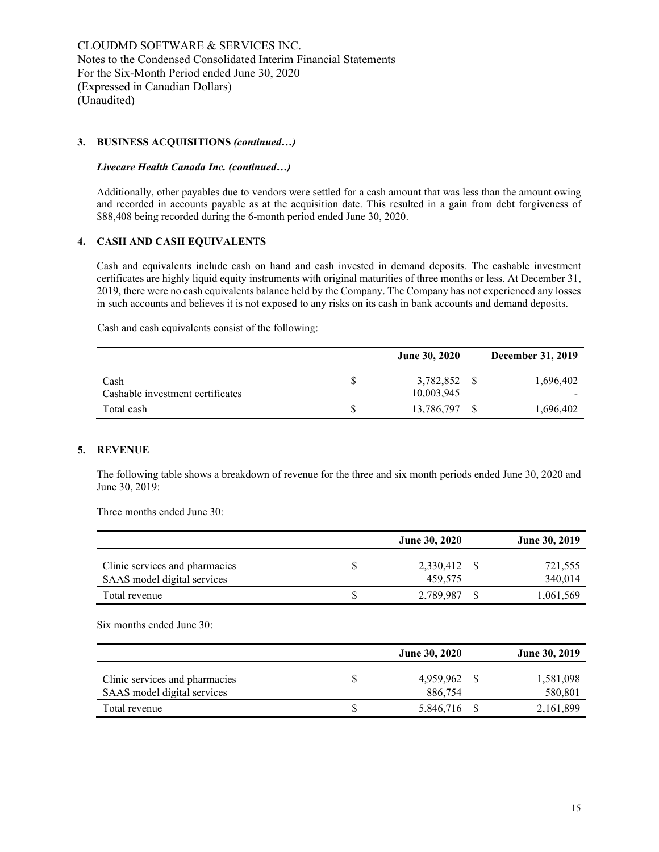#### *Livecare Health Canada Inc. (continued…)*

Additionally, other payables due to vendors were settled for a cash amount that was less than the amount owing and recorded in accounts payable as at the acquisition date. This resulted in a gain from debt forgiveness of \$88,408 being recorded during the 6-month period ended June 30, 2020.

#### **4. CASH AND CASH EQUIVALENTS**

Cash and equivalents include cash on hand and cash invested in demand deposits. The cashable investment certificates are highly liquid equity instruments with original maturities of three months or less. At December 31, 2019, there were no cash equivalents balance held by the Company. The Company has not experienced any losses in such accounts and believes it is not exposed to any risks on its cash in bank accounts and demand deposits.

Cash and cash equivalents consist of the following:

|                                          | <b>June 30, 2020</b>    | December 31, 2019 |
|------------------------------------------|-------------------------|-------------------|
| Cash<br>Cashable investment certificates | 3,782,852<br>10,003,945 | 1,696,402         |
| Total cash                               | 13,786,797              | 1,696,402         |

#### **5. REVENUE**

The following table shows a breakdown of revenue for the three and six month periods ended June 30, 2020 and June 30, 2019:

Three months ended June 30:

|                                                               | <b>June 30, 2020</b>    | <b>June 30, 2019</b> |
|---------------------------------------------------------------|-------------------------|----------------------|
| Clinic services and pharmacies<br>SAAS model digital services | 2,330,412 \$<br>459.575 | 721,555<br>340,014   |
| Total revenue                                                 | 2,789,987               | 1,061,569            |

Six months ended June 30:

|                                                               | <b>June 30, 2020</b> | <b>June 30, 2019</b> |
|---------------------------------------------------------------|----------------------|----------------------|
| Clinic services and pharmacies<br>SAAS model digital services | 4,959,962<br>886,754 | 1,581,098<br>580,801 |
| Total revenue                                                 | 5,846,716            | 2,161,899            |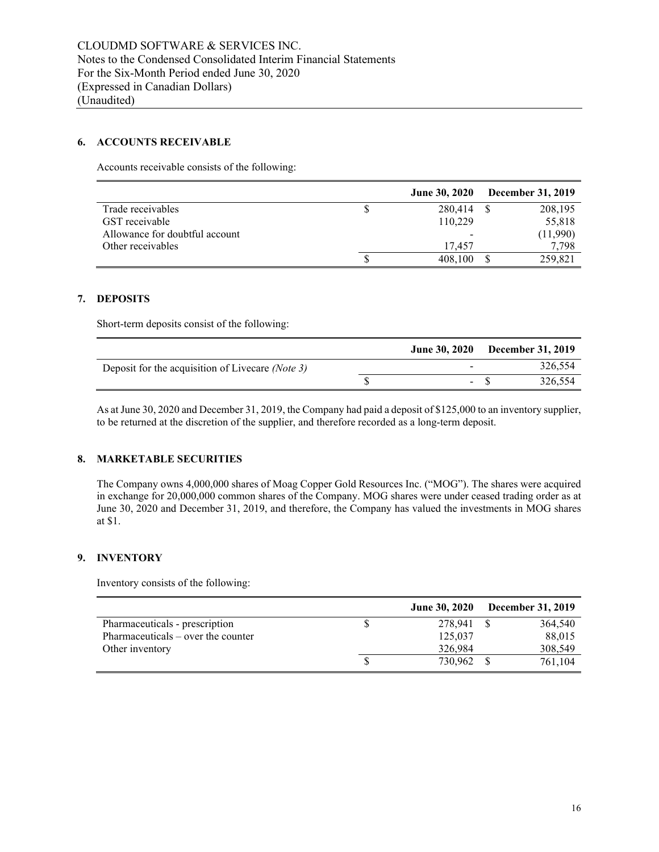## **6. ACCOUNTS RECEIVABLE**

Accounts receivable consists of the following:

|                                | <b>June 30, 2020</b> | <b>December 31, 2019</b> |
|--------------------------------|----------------------|--------------------------|
| Trade receivables              | 280,414              | 208,195                  |
| GST receivable                 | 110,229              | 55,818                   |
| Allowance for doubtful account |                      | (11,990)                 |
| Other receivables              | 17.457               | 7,798                    |
|                                | 408,100              | 259,821                  |

#### **7. DEPOSITS**

Short-term deposits consist of the following:

|                                                  |  | June 30, 2020 December 31, 2019 |
|--------------------------------------------------|--|---------------------------------|
| Deposit for the acquisition of Livecare (Note 3) |  | 326.554                         |
|                                                  |  | 326.554                         |

As at June 30, 2020 and December 31, 2019, the Company had paid a deposit of \$125,000 to an inventory supplier, to be returned at the discretion of the supplier, and therefore recorded as a long-term deposit.

## **8. MARKETABLE SECURITIES**

The Company owns 4,000,000 shares of Moag Copper Gold Resources Inc. ("MOG"). The shares were acquired in exchange for 20,000,000 common shares of the Company. MOG shares were under ceased trading order as at June 30, 2020 and December 31, 2019, and therefore, the Company has valued the investments in MOG shares at \$1.

## **9. INVENTORY**

Inventory consists of the following:

|                                     | <b>June 30, 2020</b> | <b>December 31, 2019</b> |
|-------------------------------------|----------------------|--------------------------|
| Pharmaceuticals - prescription      | 278.941              | 364,540                  |
| $Pharmaceticals - over the counter$ | 125,037              | 88,015                   |
| Other inventory                     | 326.984              | 308,549                  |
|                                     | 730.962 \$           | 761.104                  |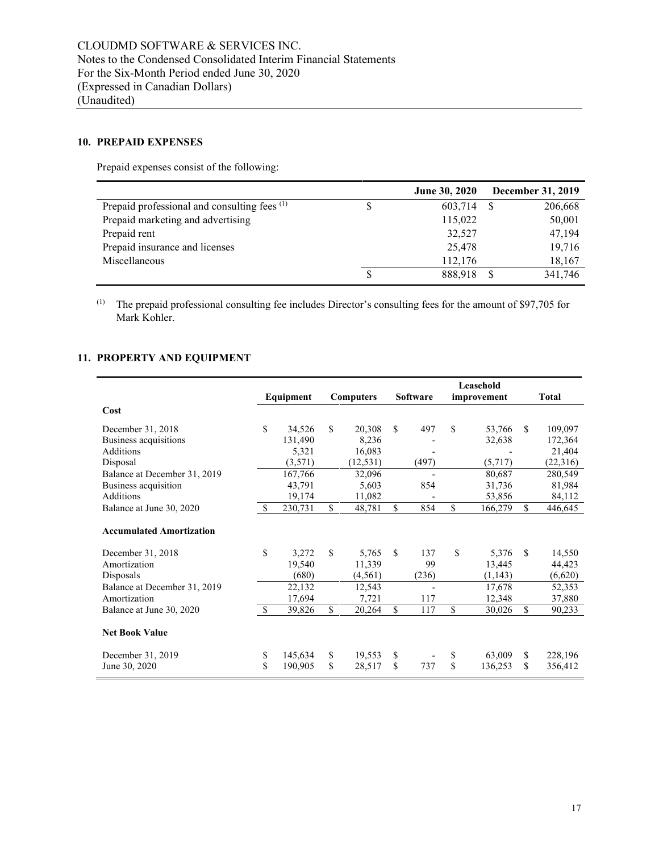## **10. PREPAID EXPENSES**

Prepaid expenses consist of the following:

|                                              | <b>June 30, 2020</b> | December 31, 2019 |
|----------------------------------------------|----------------------|-------------------|
| Prepaid professional and consulting fees (1) | 603,714              | 206,668           |
| Prepaid marketing and advertising            | 115,022              | 50,001            |
| Prepaid rent                                 | 32,527               | 47,194            |
| Prepaid insurance and licenses               | 25,478               | 19,716            |
| Miscellaneous                                | 112,176              | 18,167            |
|                                              | 888,918              | 341,746           |

(1) The prepaid professional consulting fee includes Director's consulting fees for the amount of \$97,705 for Mark Kohler.

## **11. PROPERTY AND EQUIPMENT**

|                                 |     | Equipment | <b>Computers</b> | <b>Software</b>          |             | Leasehold<br>improvement |     | <b>Total</b> |
|---------------------------------|-----|-----------|------------------|--------------------------|-------------|--------------------------|-----|--------------|
| Cost                            |     |           |                  |                          |             |                          |     |              |
| December 31, 2018               | \$  | 34.526    | \$<br>20,308     | \$<br>497                | \$.         | 53,766                   | \$. | 109,097      |
| Business acquisitions           |     | 131,490   | 8,236            |                          |             | 32,638                   |     | 172,364      |
| Additions                       |     | 5,321     | 16,083           |                          |             |                          |     | 21,404       |
| Disposal                        |     | (3,571)   | (12, 531)        | (497)                    |             | (5,717)                  |     | (22,316)     |
| Balance at December 31, 2019    |     | 167,766   | 32,096           |                          |             | 80,687                   |     | 280,549      |
| Business acquisition            |     | 43,791    | 5,603            | 854                      |             | 31,736                   |     | 81,984       |
| Additions                       |     | 19,174    | 11,082           |                          |             | 53,856                   |     | 84,112       |
| Balance at June 30, 2020        | -S  | 230,731   | \$<br>48,781     | \$<br>854                | \$          | 166,279                  | \$  | 446,645      |
| <b>Accumulated Amortization</b> |     |           |                  |                          |             |                          |     |              |
| December 31, 2018               | \$  | 3,272     | \$<br>5,765      | \$<br>137                | $\mathbf S$ | 5,376                    | \$  | 14,550       |
| Amortization                    |     | 19,540    | 11,339           | 99                       |             | 13,445                   |     | 44,423       |
| Disposals                       |     | (680)     | (4, 561)         | (236)                    |             | (1,143)                  |     | (6,620)      |
| Balance at December 31, 2019    |     | 22,132    | 12,543           | $\overline{\phantom{a}}$ |             | 17,678                   |     | 52,353       |
| Amortization                    |     | 17,694    | 7,721            | 117                      |             | 12,348                   |     | 37,880       |
| Balance at June 30, 2020        | \$. | 39,826    | \$<br>20,264     | \$<br>117                | \$          | 30,026                   | \$  | 90,233       |
| <b>Net Book Value</b>           |     |           |                  |                          |             |                          |     |              |
| December 31, 2019               | \$  | 145,634   | \$<br>19,553     | \$                       | \$          | 63,009                   | \$  | 228,196      |
| June 30, 2020                   | \$  | 190,905   | \$<br>28,517     | \$<br>737                | \$          | 136,253                  | \$  | 356,412      |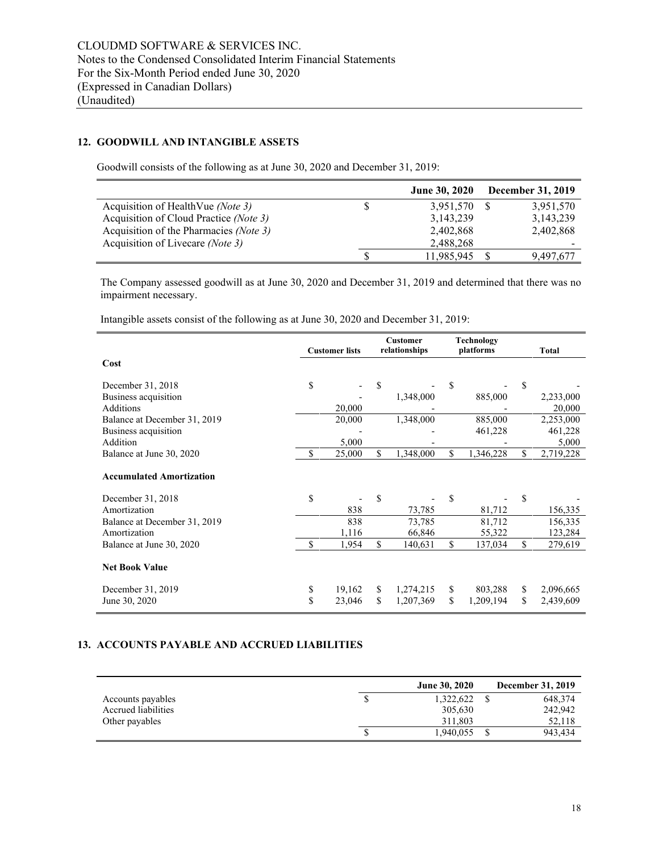## **12. GOODWILL AND INTANGIBLE ASSETS**

Goodwill consists of the following as at June 30, 2020 and December 31, 2019:

|                                        | <b>June 30, 2020</b> | <b>December 31, 2019</b> |
|----------------------------------------|----------------------|--------------------------|
| Acquisition of HealthVue (Note 3)      | 3,951,570            | 3,951,570                |
| Acquisition of Cloud Practice (Note 3) | 3, 143, 239          | 3,143,239                |
| Acquisition of the Pharmacies (Note 3) | 2,402,868            | 2,402,868                |
| Acquisition of Livecare (Note 3)       | 2,488,268            |                          |
|                                        | 11,985,945           | 9.497.677                |

The Company assessed goodwill as at June 30, 2020 and December 31, 2019 and determined that there was no impairment necessary.

Intangible assets consist of the following as at June 30, 2020 and December 31, 2019:

|                                 | <b>Customer lists</b> | <b>Customer</b><br>relationships | <b>Technology</b><br>platforms | Total           |
|---------------------------------|-----------------------|----------------------------------|--------------------------------|-----------------|
| Cost                            |                       |                                  |                                |                 |
| December 31, 2018               | \$                    | \$                               | \$                             | \$              |
| Business acquisition            |                       | 1,348,000                        | 885,000                        | 2,233,000       |
| Additions                       | 20,000                |                                  |                                | 20,000          |
| Balance at December 31, 2019    | 20,000                | 1,348,000                        | 885,000                        | 2,253,000       |
| Business acquisition            |                       |                                  | 461,228                        | 461,228         |
| Addition                        | 5,000                 |                                  |                                | 5,000           |
| Balance at June 30, 2020        | \$<br>25,000          | \$<br>1,348,000                  | \$<br>1,346,228                | \$<br>2,719,228 |
| <b>Accumulated Amortization</b> |                       |                                  |                                |                 |
| December 31, 2018               | \$                    | \$                               | \$                             | \$              |
| Amortization                    | 838                   | 73,785                           | 81,712                         | 156,335         |
| Balance at December 31, 2019    | 838                   | 73,785                           | 81,712                         | 156,335         |
| Amortization                    | 1,116                 | 66,846                           | 55,322                         | 123,284         |
| Balance at June 30, 2020        | \$<br>1,954           | \$<br>140,631                    | \$<br>137,034                  | \$<br>279,619   |
| <b>Net Book Value</b>           |                       |                                  |                                |                 |
| December 31, 2019               | \$<br>19,162          | \$<br>1,274,215                  | \$<br>803,288                  | \$<br>2,096,665 |
| June 30, 2020                   | \$<br>23,046          | \$<br>1,207,369                  | \$<br>1,209,194                | \$<br>2,439,609 |

## **13. ACCOUNTS PAYABLE AND ACCRUED LIABILITIES**

|                     | <b>June 30, 2020</b> | <b>December 31, 2019</b> |
|---------------------|----------------------|--------------------------|
| Accounts payables   | 1.322.622            | 648,374                  |
| Accrued liabilities | 305,630              | 242,942                  |
| Other payables      | 311.803              | 52,118                   |
|                     | 1.940.055            | 943.434                  |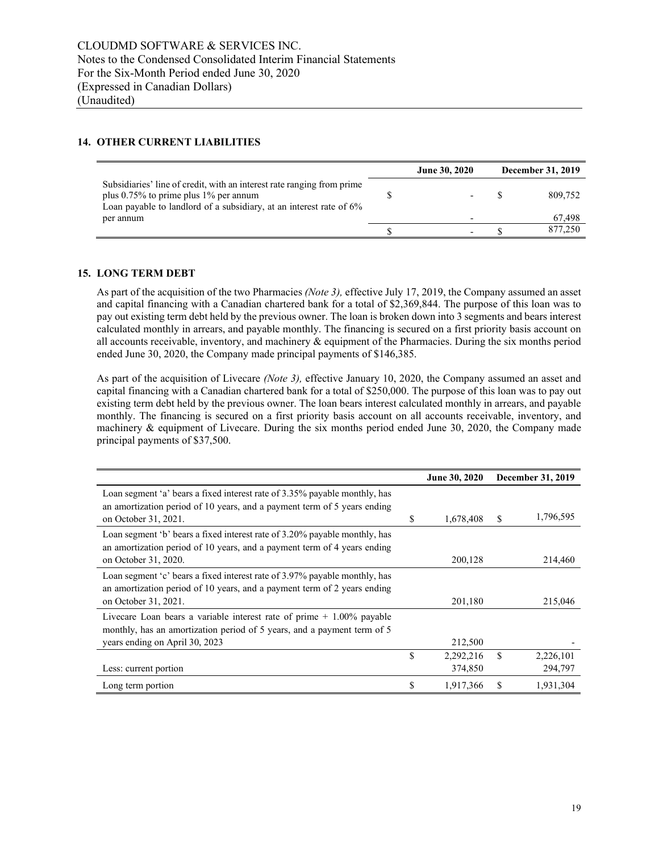## **14. OTHER CURRENT LIABILITIES**

|                                                                                                                                                                                           | <b>June 30, 2020</b> | <b>December 31, 2019</b> |
|-------------------------------------------------------------------------------------------------------------------------------------------------------------------------------------------|----------------------|--------------------------|
| Subsidiaries' line of credit, with an interest rate ranging from prime<br>plus $0.75\%$ to prime plus 1% per annum<br>Loan payable to landlord of a subsidiary, at an interest rate of 6% |                      | 809.752                  |
| per annum                                                                                                                                                                                 |                      | 67,498                   |
|                                                                                                                                                                                           |                      | 877,250                  |

#### **15. LONG TERM DEBT**

As part of the acquisition of the two Pharmacies *(Note 3),* effective July 17, 2019, the Company assumed an asset and capital financing with a Canadian chartered bank for a total of \$2,369,844. The purpose of this loan was to pay out existing term debt held by the previous owner. The loan is broken down into 3 segments and bears interest calculated monthly in arrears, and payable monthly. The financing is secured on a first priority basis account on all accounts receivable, inventory, and machinery & equipment of the Pharmacies. During the six months period ended June 30, 2020, the Company made principal payments of \$146,385.

As part of the acquisition of Livecare *(Note 3),* effective January 10, 2020, the Company assumed an asset and capital financing with a Canadian chartered bank for a total of \$250,000. The purpose of this loan was to pay out existing term debt held by the previous owner. The loan bears interest calculated monthly in arrears, and payable monthly. The financing is secured on a first priority basis account on all accounts receivable, inventory, and machinery & equipment of Livecare. During the six months period ended June 30, 2020, the Company made principal payments of \$37,500.

|                                                                                                                                                        | June 30, 2020   |    | December 31, 2019 |
|--------------------------------------------------------------------------------------------------------------------------------------------------------|-----------------|----|-------------------|
| Loan segment 'a' bears a fixed interest rate of 3.35% payable monthly, has<br>an amortization period of 10 years, and a payment term of 5 years ending |                 |    |                   |
| on October 31, 2021.                                                                                                                                   | \$<br>1,678,408 | S  | 1,796,595         |
| Loan segment 'b' bears a fixed interest rate of 3.20% payable monthly, has<br>an amortization period of 10 years, and a payment term of 4 years ending |                 |    |                   |
| on October 31, 2020.                                                                                                                                   | 200,128         |    | 214,460           |
| Loan segment 'c' bears a fixed interest rate of 3.97% payable monthly, has<br>an amortization period of 10 years, and a payment term of 2 years ending |                 |    |                   |
| on October 31, 2021.                                                                                                                                   | 201,180         |    | 215,046           |
| Livecare Loan bears a variable interest rate of prime $+1.00\%$ payable                                                                                |                 |    |                   |
| monthly, has an amortization period of 5 years, and a payment term of 5<br>years ending on April 30, 2023                                              | 212,500         |    |                   |
|                                                                                                                                                        | \$<br>2,292,216 | \$ | 2,226,101         |
| Less: current portion                                                                                                                                  | 374,850         |    | 294,797           |
| Long term portion                                                                                                                                      | \$<br>1,917,366 | S  | 1,931,304         |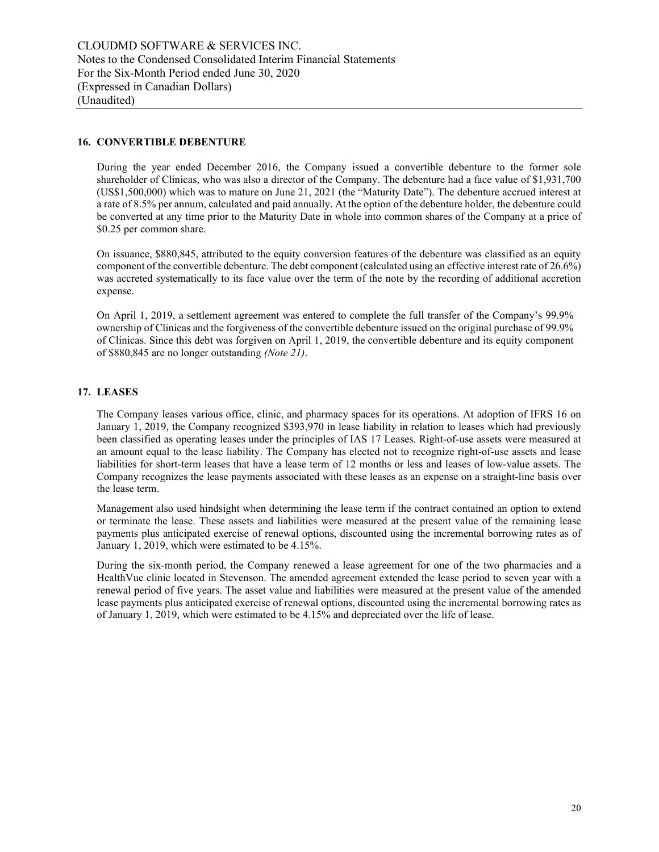#### **16. CONVERTIBLE DEBENTURE**

During the year ended December 2016, the Company issued a convertible debenture to the former sole shareholder of Clinicas, who was also a director of the Company. The debenture had a face value of \$1,931,700 (US\$1,500,000) which was to mature on June 21, 2021 (the "Maturity Date"). The debenture accrued interest at a rate of 8.5% per annum, calculated and paid annually. At the option of the debenture holder, the debenture could be converted at any time prior to the Maturity Date in whole into common shares of the Company at a price of \$0.25 per common share.

On issuance, \$880,845, attributed to the equity conversion features of the debenture was classified as an equity component of the convertible debenture. The debt component (calculated using an effective interest rate of 26.6%) was accreted systematically to its face value over the term of the note by the recording of additional accretion expense.

On April 1, 2019, a settlement agreement was entered to complete the full transfer of the Company's 99.9% ownership of Clinicas and the forgiveness of the convertible debenture issued on the original purchase of 99.9% of Clinicas. Since this debt was forgiven on April 1, 2019, the convertible debenture and its equity component of \$880,845 are no longer outstanding *(Note 21)*.

#### **17. LEASES**

The Company leases various office, clinic, and pharmacy spaces for its operations. At adoption of IFRS 16 on January 1, 2019, the Company recognized \$393,970 in lease liability in relation to leases which had previously been classified as operating leases under the principles of IAS 17 Leases. Right-of-use assets were measured at an amount equal to the lease liability. The Company has elected not to recognize right-of-use assets and lease liabilities for short-term leases that have a lease term of 12 months or less and leases of low-value assets. The Company recognizes the lease payments associated with these leases as an expense on a straight-line basis over the lease term.

Management also used hindsight when determining the lease term if the contract contained an option to extend or terminate the lease. These assets and liabilities were measured at the present value of the remaining lease payments plus anticipated exercise of renewal options, discounted using the incremental borrowing rates as of January 1, 2019, which were estimated to be 4.15%.

During the six-month period, the Company renewed a lease agreement for one of the two pharmacies and a HealthVue clinic located in Stevenson. The amended agreement extended the lease period to seven year with a renewal period of five years. The asset value and liabilities were measured at the present value of the amended lease payments plus anticipated exercise of renewal options, discounted using the incremental borrowing rates as of January 1, 2019, which were estimated to be 4.15% and depreciated over the life of lease.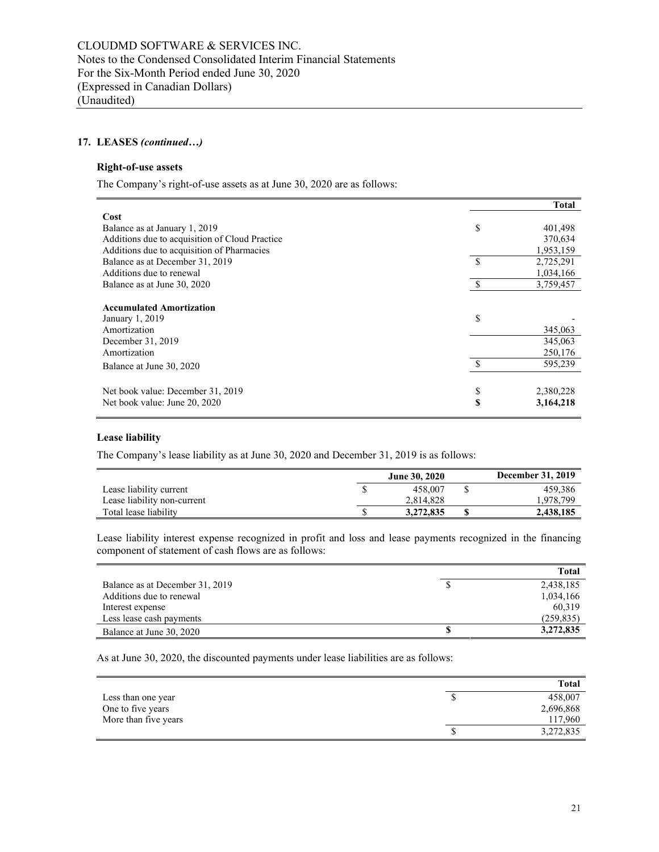#### **17. LEASES** *(continued…)*

#### **Right-of-use assets**

The Company's right-of-use assets as at June 30, 2020 are as follows:

|                                                |               | <b>Total</b> |
|------------------------------------------------|---------------|--------------|
| Cost                                           |               |              |
| Balance as at January 1, 2019                  | \$            | 401,498      |
| Additions due to acquisition of Cloud Practice |               | 370,634      |
| Additions due to acquisition of Pharmacies     |               | 1,953,159    |
| Balance as at December 31, 2019                | \$            | 2,725,291    |
| Additions due to renewal                       |               | 1,034,166    |
| Balance as at June 30, 2020                    | $\mathcal{S}$ | 3,759,457    |
| <b>Accumulated Amortization</b>                |               |              |
| January 1, 2019                                | \$            |              |
| Amortization                                   |               | 345,063      |
| December 31, 2019                              |               | 345,063      |
| Amortization                                   |               | 250,176      |
| Balance at June 30, 2020                       | \$            | 595,239      |
| Net book value: December 31, 2019              | \$            | 2,380,228    |
| Net book value: June 20, 2020                  | S             | 3,164,218    |
|                                                |               |              |

## **Lease liability**

The Company's lease liability as at June 30, 2020 and December 31, 2019 is as follows:

|                             | <b>June 30, 2020</b> | December 31, 2019 |
|-----------------------------|----------------------|-------------------|
| Lease liability current     | 458,007              | 459,386           |
| Lease liability non-current | 2.814.828            | 1.978.799         |
| Total lease liability       | 3,272,835            | 2.438.185         |

Lease liability interest expense recognized in profit and loss and lease payments recognized in the financing component of statement of cash flows are as follows:

|                                 |  | Total      |
|---------------------------------|--|------------|
| Balance as at December 31, 2019 |  | 2,438,185  |
| Additions due to renewal        |  | 1,034,166  |
| Interest expense                |  | 60.319     |
| Less lease cash payments        |  | (259, 835) |
| Balance at June 30, 2020        |  | 3,272,835  |

As at June 30, 2020, the discounted payments under lease liabilities are as follows:

|                      |   | Total     |
|----------------------|---|-----------|
| Less than one year   | Φ | 458,007   |
| One to five years    |   | 2,696,868 |
| More than five years |   | 117,960   |
|                      | S | 3,272,835 |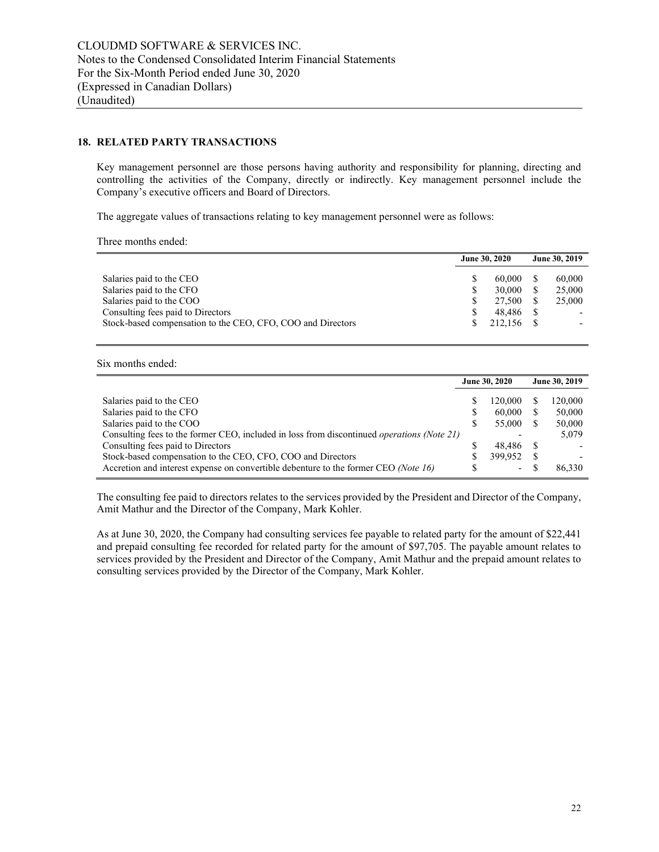#### **18. RELATED PARTY TRANSACTIONS**

Key management personnel are those persons having authority and responsibility for planning, directing and controlling the activities of the Company, directly or indirectly. Key management personnel include the Company's executive officers and Board of Directors.

The aggregate values of transactions relating to key management personnel were as follows:

Three months ended:

|                                                             | June 30, 2020 |         | June 30, 2019 |        |
|-------------------------------------------------------------|---------------|---------|---------------|--------|
| Salaries paid to the CEO                                    |               | 60,000  |               | 60,000 |
| Salaries paid to the CFO                                    |               | 30,000  |               | 25,000 |
| Salaries paid to the COO                                    |               | 27,500  |               | 25,000 |
| Consulting fees paid to Directors                           |               | 48.486  |               |        |
| Stock-based compensation to the CEO, CFO, COO and Directors |               | 212,156 |               |        |

Six months ended:

|                                                                                                   | <b>June 30, 2020</b> |                          | June 30, 2019 |
|---------------------------------------------------------------------------------------------------|----------------------|--------------------------|---------------|
| Salaries paid to the CEO                                                                          |                      | 120,000                  | 120,000       |
| Salaries paid to the CFO                                                                          | S                    | 60,000                   | 50,000        |
| Salaries paid to the COO                                                                          |                      | 55,000                   | 50,000        |
| Consulting fees to the former CEO, included in loss from discontinued <i>operations</i> (Note 21) |                      |                          | 5,079         |
| Consulting fees paid to Directors                                                                 |                      | 48.486                   |               |
| Stock-based compensation to the CEO, CFO, COO and Directors                                       |                      | 399.952                  |               |
| Accretion and interest expense on convertible debenture to the former CEO (Note 16)               |                      | $\overline{\phantom{a}}$ | 86.330        |

The consulting fee paid to directors relates to the services provided by the President and Director of the Company, Amit Mathur and the Director of the Company, Mark Kohler.

As at June 30, 2020, the Company had consulting services fee payable to related party for the amount of \$22,441 and prepaid consulting fee recorded for related party for the amount of \$97,705. The payable amount relates to services provided by the President and Director of the Company, Amit Mathur and the prepaid amount relates to consulting services provided by the Director of the Company, Mark Kohler.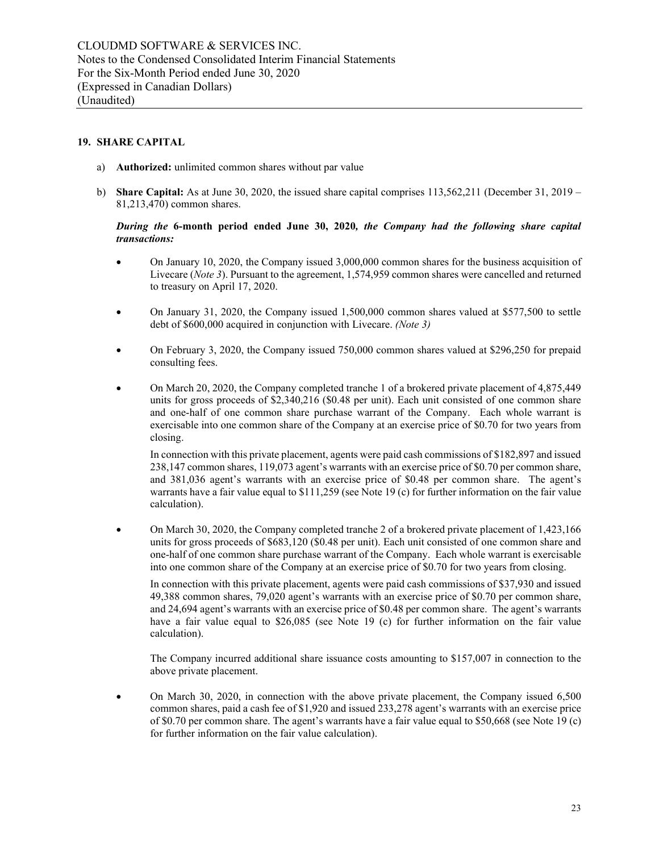## **19. SHARE CAPITAL**

- a) **Authorized:** unlimited common shares without par value
- b) **Share Capital:** As at June 30, 2020, the issued share capital comprises 113,562,211 (December 31, 2019 81,213,470) common shares.

#### *During the* **6-month period ended June 30, 2020***, the Company had the following share capital transactions:*

- On January 10, 2020, the Company issued 3,000,000 common shares for the business acquisition of Livecare (*Note 3*). Pursuant to the agreement, 1,574,959 common shares were cancelled and returned to treasury on April 17, 2020.
- On January 31, 2020, the Company issued 1,500,000 common shares valued at \$577,500 to settle debt of \$600,000 acquired in conjunction with Livecare. *(Note 3)*
- On February 3, 2020, the Company issued 750,000 common shares valued at \$296,250 for prepaid consulting fees.
- On March 20, 2020, the Company completed tranche 1 of a brokered private placement of 4,875,449 units for gross proceeds of \$2,340,216 (\$0.48 per unit). Each unit consisted of one common share and one-half of one common share purchase warrant of the Company. Each whole warrant is exercisable into one common share of the Company at an exercise price of \$0.70 for two years from closing.

In connection with this private placement, agents were paid cash commissions of \$182,897 and issued 238,147 common shares, 119,073 agent's warrants with an exercise price of \$0.70 per common share, and 381,036 agent's warrants with an exercise price of \$0.48 per common share. The agent's warrants have a fair value equal to \$111,259 (see Note 19 (c) for further information on the fair value calculation).

• On March 30, 2020, the Company completed tranche 2 of a brokered private placement of 1,423,166 units for gross proceeds of \$683,120 (\$0.48 per unit). Each unit consisted of one common share and one-half of one common share purchase warrant of the Company. Each whole warrant is exercisable into one common share of the Company at an exercise price of \$0.70 for two years from closing.

In connection with this private placement, agents were paid cash commissions of \$37,930 and issued 49,388 common shares, 79,020 agent's warrants with an exercise price of \$0.70 per common share, and 24,694 agent's warrants with an exercise price of \$0.48 per common share. The agent's warrants have a fair value equal to \$26,085 (see Note 19 (c) for further information on the fair value calculation).

The Company incurred additional share issuance costs amounting to \$157,007 in connection to the above private placement.

• On March 30, 2020, in connection with the above private placement, the Company issued 6,500 common shares, paid a cash fee of \$1,920 and issued 233,278 agent's warrants with an exercise price of \$0.70 per common share. The agent's warrants have a fair value equal to \$50,668 (see Note 19 (c) for further information on the fair value calculation).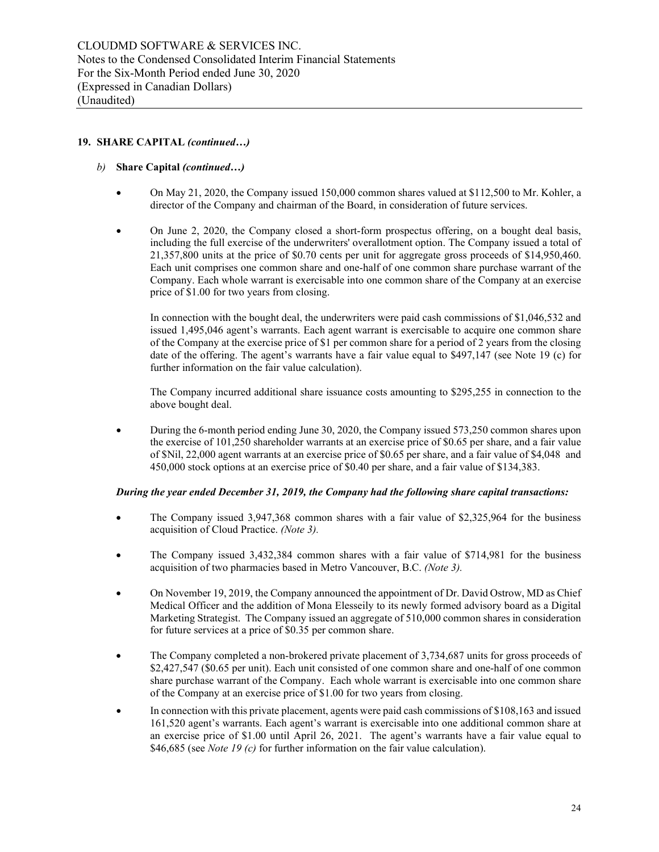#### *b)* **Share Capital** *(continued…)*

- On May 21, 2020, the Company issued 150,000 common shares valued at \$112,500 to Mr. Kohler, a director of the Company and chairman of the Board, in consideration of future services.
- On June 2, 2020, the Company closed a short-form prospectus offering, on a bought deal basis, including the full exercise of the underwriters' overallotment option. The Company issued a total of 21,357,800 units at the price of \$0.70 cents per unit for aggregate gross proceeds of \$14,950,460. Each unit comprises one common share and one-half of one common share purchase warrant of the Company. Each whole warrant is exercisable into one common share of the Company at an exercise price of \$1.00 for two years from closing.

In connection with the bought deal, the underwriters were paid cash commissions of \$1,046,532 and issued 1,495,046 agent's warrants. Each agent warrant is exercisable to acquire one common share of the Company at the exercise price of \$1 per common share for a period of 2 years from the closing date of the offering. The agent's warrants have a fair value equal to \$497,147 (see Note 19 (c) for further information on the fair value calculation).

The Company incurred additional share issuance costs amounting to \$295,255 in connection to the above bought deal.

• During the 6-month period ending June 30, 2020, the Company issued 573,250 common shares upon the exercise of 101,250 shareholder warrants at an exercise price of \$0.65 per share, and a fair value of \$Nil, 22,000 agent warrants at an exercise price of \$0.65 per share, and a fair value of \$4,048 and 450,000 stock options at an exercise price of \$0.40 per share, and a fair value of \$134,383.

#### *During the year ended December 31, 2019, the Company had the following share capital transactions:*

- The Company issued 3,947,368 common shares with a fair value of \$2,325,964 for the business acquisition of Cloud Practice. *(Note 3).*
- The Company issued 3,432,384 common shares with a fair value of \$714,981 for the business acquisition of two pharmacies based in Metro Vancouver, B.C. *(Note 3).*
- On November 19, 2019, the Company announced the appointment of Dr. David Ostrow, MD as Chief Medical Officer and the addition of Mona Elesseily to its newly formed advisory board as a Digital Marketing Strategist. The Company issued an aggregate of 510,000 common shares in consideration for future services at a price of \$0.35 per common share.
- The Company completed a non-brokered private placement of 3,734,687 units for gross proceeds of \$2,427,547 (\$0.65 per unit). Each unit consisted of one common share and one-half of one common share purchase warrant of the Company. Each whole warrant is exercisable into one common share of the Company at an exercise price of \$1.00 for two years from closing.
- In connection with this private placement, agents were paid cash commissions of \$108,163 and issued 161,520 agent's warrants. Each agent's warrant is exercisable into one additional common share at an exercise price of \$1.00 until April 26, 2021. The agent's warrants have a fair value equal to \$46,685 (see *Note 19 (c)* for further information on the fair value calculation).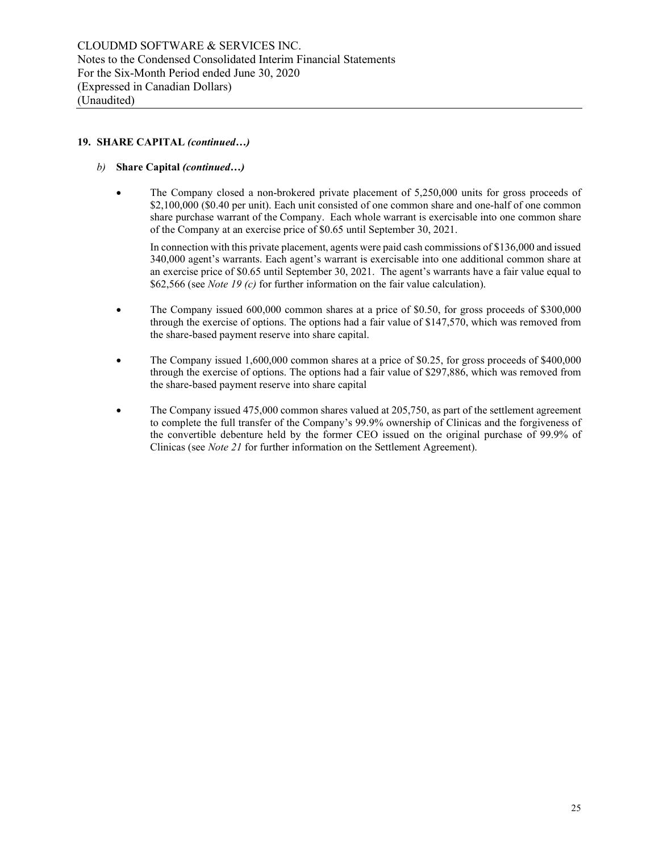#### *b)* **Share Capital** *(continued…)*

• The Company closed a non-brokered private placement of 5,250,000 units for gross proceeds of \$2,100,000 (\$0.40 per unit). Each unit consisted of one common share and one-half of one common share purchase warrant of the Company. Each whole warrant is exercisable into one common share of the Company at an exercise price of \$0.65 until September 30, 2021.

In connection with this private placement, agents were paid cash commissions of \$136,000 and issued 340,000 agent's warrants. Each agent's warrant is exercisable into one additional common share at an exercise price of \$0.65 until September 30, 2021. The agent's warrants have a fair value equal to \$62,566 (see *Note 19 (c)* for further information on the fair value calculation).

- The Company issued 600,000 common shares at a price of \$0.50, for gross proceeds of \$300,000 through the exercise of options. The options had a fair value of \$147,570, which was removed from the share-based payment reserve into share capital.
- The Company issued 1,600,000 common shares at a price of \$0.25, for gross proceeds of \$400,000 through the exercise of options. The options had a fair value of \$297,886, which was removed from the share-based payment reserve into share capital
- The Company issued 475,000 common shares valued at 205,750, as part of the settlement agreement to complete the full transfer of the Company's 99.9% ownership of Clinicas and the forgiveness of the convertible debenture held by the former CEO issued on the original purchase of 99.9% of Clinicas (see *Note 21* for further information on the Settlement Agreement).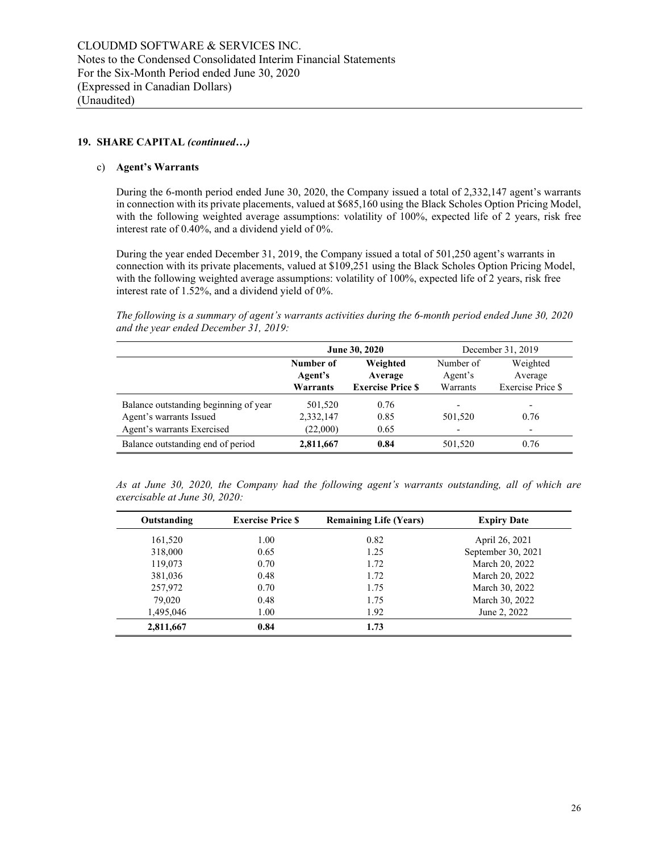#### c) **Agent's Warrants**

During the 6-month period ended June 30, 2020, the Company issued a total of 2,332,147 agent's warrants in connection with its private placements, valued at \$685,160 using the Black Scholes Option Pricing Model, with the following weighted average assumptions: volatility of 100%, expected life of 2 years, risk free interest rate of 0.40%, and a dividend yield of 0%.

During the year ended December 31, 2019, the Company issued a total of 501,250 agent's warrants in connection with its private placements, valued at \$109,251 using the Black Scholes Option Pricing Model, with the following weighted average assumptions: volatility of 100%, expected life of 2 years, risk free interest rate of 1.52%, and a dividend yield of 0%.

*The following is a summary of agent's warrants activities during the 6-month period ended June 30, 2020 and the year ended December 31, 2019:*

|                                       |           | June 30, 2020            | December 31, 2019        |                          |  |
|---------------------------------------|-----------|--------------------------|--------------------------|--------------------------|--|
|                                       | Number of | Weighted                 | Number of                | Weighted                 |  |
|                                       | Agent's   | Average                  |                          | Average                  |  |
|                                       | Warrants  | <b>Exercise Price \$</b> | Warrants                 | Exercise Price \$        |  |
| Balance outstanding beginning of year | 501,520   | 0.76                     |                          | $\overline{\phantom{0}}$ |  |
| Agent's warrants Issued               | 2,332,147 | 0.85                     | 501,520                  | 0.76                     |  |
| Agent's warrants Exercised            | (22,000)  | 0.65                     | $\overline{\phantom{0}}$ | $\overline{\phantom{0}}$ |  |
| Balance outstanding end of period     | 2,811,667 | 0.84                     | 501,520                  | 0.76                     |  |

| As at June 30, 2020, the Company had the following agent's warrants outstanding, all of which are |  |  |  |  |  |  |
|---------------------------------------------------------------------------------------------------|--|--|--|--|--|--|
| exercisable at June 30, 2020:                                                                     |  |  |  |  |  |  |

| Outstanding | <b>Exercise Price S</b> | <b>Remaining Life (Years)</b> | <b>Expiry Date</b> |
|-------------|-------------------------|-------------------------------|--------------------|
| 161,520     | 1.00                    | 0.82                          | April 26, 2021     |
| 318,000     | 0.65                    | 1.25                          | September 30, 2021 |
| 119,073     | 0.70                    | 1.72                          | March 20, 2022     |
| 381,036     | 0.48                    | 1.72                          | March 20, 2022     |
| 257,972     | 0.70                    | 1.75                          | March 30, 2022     |
| 79,020      | 0.48                    | 1.75                          | March 30, 2022     |
| 1,495,046   | 1.00                    | 1.92                          | June 2, 2022       |
| 2,811,667   | 0.84                    | 1.73                          |                    |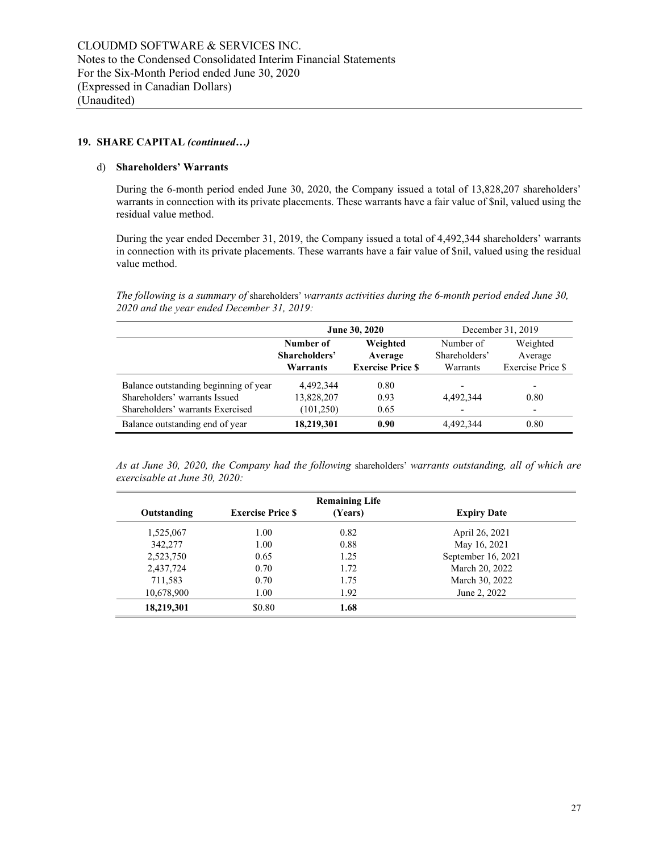#### d) **Shareholders' Warrants**

During the 6-month period ended June 30, 2020, the Company issued a total of 13,828,207 shareholders' warrants in connection with its private placements. These warrants have a fair value of \$nil, valued using the residual value method.

During the year ended December 31, 2019, the Company issued a total of 4,492,344 shareholders' warrants in connection with its private placements. These warrants have a fair value of \$nil, valued using the residual value method.

*The following is a summary of* shareholders' *warrants activities during the 6-month period ended June 30, 2020 and the year ended December 31, 2019:*

|                                       |               | June 30, 2020           | December 31, 2019        |                              |  |
|---------------------------------------|---------------|-------------------------|--------------------------|------------------------------|--|
|                                       | Number of     | Weighted                |                          | Weighted                     |  |
|                                       | Shareholders' | Average                 | Shareholders'            | Average                      |  |
|                                       | Warrants      | <b>Exercise Price S</b> | <b>Warrants</b>          | <b>Exercise Price \$</b>     |  |
| Balance outstanding beginning of year | 4,492,344     | 0.80                    | $\overline{\phantom{a}}$ | $\overline{\phantom{0}}$     |  |
| Shareholders' warrants Issued         | 13,828,207    | 0.93                    | 4,492,344                | 0.80                         |  |
| Shareholders' warrants Exercised      | (101, 250)    | 0.65                    |                          | $\qquad \qquad \blacksquare$ |  |
| Balance outstanding end of year       | 18,219,301    | 0.90                    | 4,492,344                | 0.80                         |  |

*As at June 30, 2020, the Company had the following* shareholders' *warrants outstanding, all of which are exercisable at June 30, 2020:* 

| <b>Remaining Life</b> |                         |         |                    |  |  |  |
|-----------------------|-------------------------|---------|--------------------|--|--|--|
| Outstanding           | <b>Exercise Price S</b> | (Years) | <b>Expiry Date</b> |  |  |  |
| 1,525,067             | 1.00                    | 0.82    | April 26, 2021     |  |  |  |
| 342,277               | 1.00                    | 0.88    | May 16, 2021       |  |  |  |
| 2,523,750             | 0.65                    | 1.25    | September 16, 2021 |  |  |  |
| 2,437,724             | 0.70                    | 1.72    | March 20, 2022     |  |  |  |
| 711,583               | 0.70                    | 1.75    | March 30, 2022     |  |  |  |
| 10,678,900            | 1.00                    | 1.92    | June 2, 2022       |  |  |  |
| 18,219,301            | \$0.80                  | 1.68    |                    |  |  |  |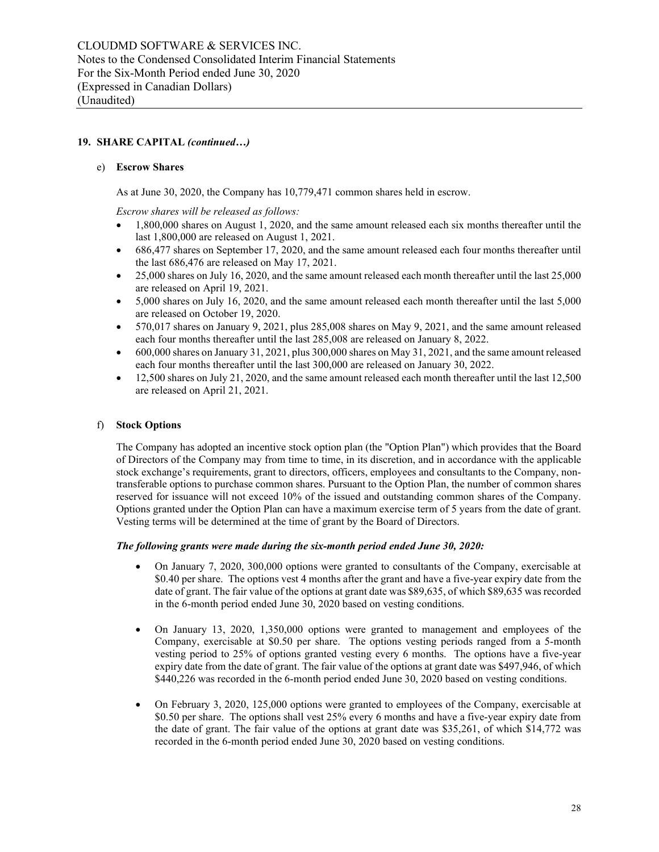#### e) **Escrow Shares**

As at June 30, 2020, the Company has 10,779,471 common shares held in escrow.

*Escrow shares will be released as follows:*

- 1,800,000 shares on August 1, 2020, and the same amount released each six months thereafter until the last 1,800,000 are released on August 1, 2021.
- 686,477 shares on September 17, 2020, and the same amount released each four months thereafter until the last 686,476 are released on May 17, 2021.
- 25,000 shares on July 16, 2020, and the same amount released each month thereafter until the last 25,000 are released on April 19, 2021.
- 5,000 shares on July 16, 2020, and the same amount released each month thereafter until the last 5,000 are released on October 19, 2020.
- 570,017 shares on January 9, 2021, plus 285,008 shares on May 9, 2021, and the same amount released each four months thereafter until the last 285,008 are released on January 8, 2022.
- 600,000 shares on January 31, 2021, plus 300,000 shares on May 31, 2021, and the same amount released each four months thereafter until the last 300,000 are released on January 30, 2022.
- 12,500 shares on July 21, 2020, and the same amount released each month thereafter until the last 12,500 are released on April 21, 2021.

#### f) **Stock Options**

The Company has adopted an incentive stock option plan (the "Option Plan") which provides that the Board of Directors of the Company may from time to time, in its discretion, and in accordance with the applicable stock exchange's requirements, grant to directors, officers, employees and consultants to the Company, nontransferable options to purchase common shares. Pursuant to the Option Plan, the number of common shares reserved for issuance will not exceed 10% of the issued and outstanding common shares of the Company. Options granted under the Option Plan can have a maximum exercise term of 5 years from the date of grant. Vesting terms will be determined at the time of grant by the Board of Directors.

#### *The following grants were made during the six-month period ended June 30, 2020:*

- On January 7, 2020, 300,000 options were granted to consultants of the Company, exercisable at \$0.40 per share. The options vest 4 months after the grant and have a five-year expiry date from the date of grant. The fair value of the options at grant date was \$89,635, of which \$89,635 was recorded in the 6-month period ended June 30, 2020 based on vesting conditions.
- On January 13, 2020, 1,350,000 options were granted to management and employees of the Company, exercisable at \$0.50 per share. The options vesting periods ranged from a 5-month vesting period to 25% of options granted vesting every 6 months. The options have a five-year expiry date from the date of grant. The fair value of the options at grant date was \$497,946, of which \$440,226 was recorded in the 6-month period ended June 30, 2020 based on vesting conditions.
- On February 3, 2020, 125,000 options were granted to employees of the Company, exercisable at \$0.50 per share. The options shall vest 25% every 6 months and have a five-year expiry date from the date of grant. The fair value of the options at grant date was \$35,261, of which \$14,772 was recorded in the 6-month period ended June 30, 2020 based on vesting conditions.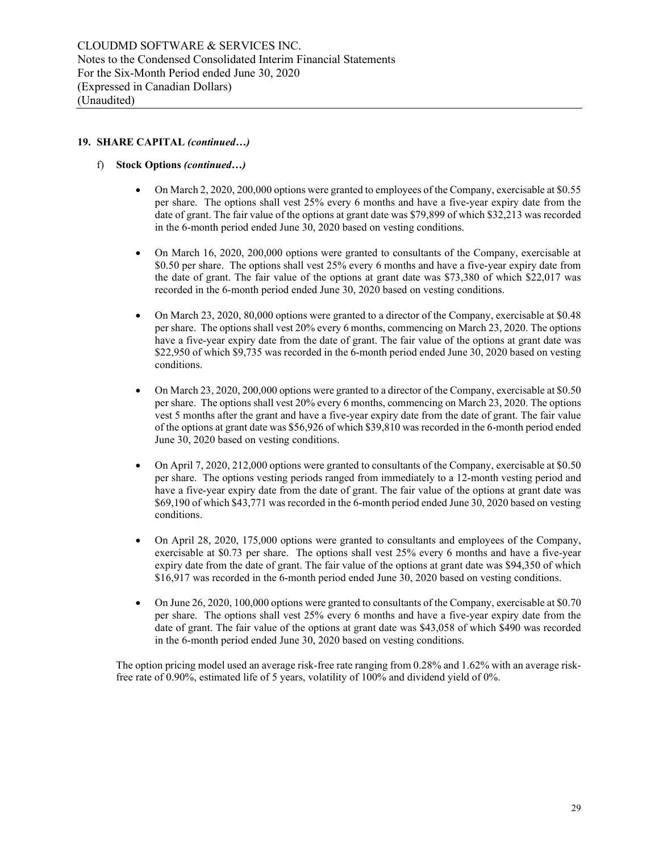#### f) **Stock Options** *(continued…)*

- On March 2, 2020, 200,000 options were granted to employees of the Company, exercisable at \$0.55 per share. The options shall vest 25% every 6 months and have a five-year expiry date from the date of grant. The fair value of the options at grant date was \$79,899 of which \$32,213 was recorded in the 6-month period ended June 30, 2020 based on vesting conditions.
- On March 16, 2020, 200,000 options were granted to consultants of the Company, exercisable at \$0.50 per share. The options shall vest 25% every 6 months and have a five-year expiry date from the date of grant. The fair value of the options at grant date was \$73,380 of which \$22,017 was recorded in the 6-month period ended June 30, 2020 based on vesting conditions.
- On March 23, 2020, 80,000 options were granted to a director of the Company, exercisable at \$0.48 per share. The options shall vest 20% every 6 months, commencing on March 23, 2020. The options have a five-year expiry date from the date of grant. The fair value of the options at grant date was \$22,950 of which \$9,735 was recorded in the 6-month period ended June 30, 2020 based on vesting conditions.
- On March 23, 2020, 200,000 options were granted to a director of the Company, exercisable at \$0.50 per share. The options shall vest 20% every 6 months, commencing on March 23, 2020. The options vest 5 months after the grant and have a five-year expiry date from the date of grant. The fair value of the options at grant date was \$56,926 of which \$39,810 was recorded in the 6-month period ended June 30, 2020 based on vesting conditions.
- On April 7, 2020, 212,000 options were granted to consultants of the Company, exercisable at \$0.50 per share. The options vesting periods ranged from immediately to a 12-month vesting period and have a five-year expiry date from the date of grant. The fair value of the options at grant date was \$69,190 of which \$43,771 was recorded in the 6-month period ended June 30, 2020 based on vesting conditions.
- On April 28, 2020, 175,000 options were granted to consultants and employees of the Company, exercisable at \$0.73 per share. The options shall vest 25% every 6 months and have a five-year expiry date from the date of grant. The fair value of the options at grant date was \$94,350 of which \$16,917 was recorded in the 6-month period ended June 30, 2020 based on vesting conditions.
- On June 26, 2020, 100,000 options were granted to consultants of the Company, exercisable at \$0.70 per share. The options shall vest 25% every 6 months and have a five-year expiry date from the date of grant. The fair value of the options at grant date was \$43,058 of which \$490 was recorded in the 6-month period ended June 30, 2020 based on vesting conditions.

The option pricing model used an average risk-free rate ranging from 0.28% and 1.62% with an average riskfree rate of 0.90%, estimated life of 5 years, volatility of 100% and dividend yield of 0%.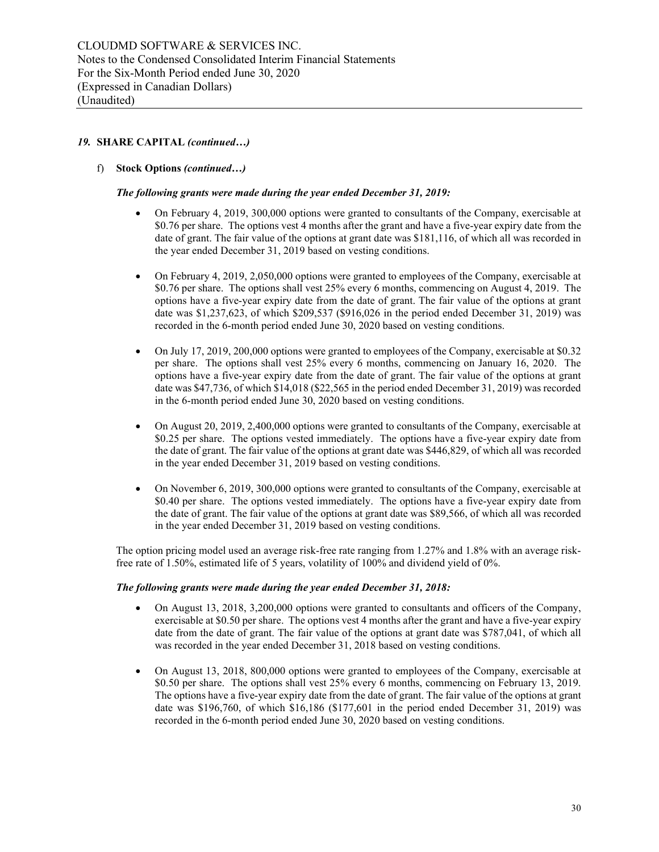#### f) **Stock Options** *(continued…)*

#### *The following grants were made during the year ended December 31, 2019:*

- On February 4, 2019, 300,000 options were granted to consultants of the Company, exercisable at \$0.76 per share. The options vest 4 months after the grant and have a five-year expiry date from the date of grant. The fair value of the options at grant date was \$181,116, of which all was recorded in the year ended December 31, 2019 based on vesting conditions.
- On February 4, 2019, 2,050,000 options were granted to employees of the Company, exercisable at \$0.76 per share. The options shall vest 25% every 6 months, commencing on August 4, 2019. The options have a five-year expiry date from the date of grant. The fair value of the options at grant date was \$1,237,623, of which \$209,537 (\$916,026 in the period ended December 31, 2019) was recorded in the 6-month period ended June 30, 2020 based on vesting conditions.
- On July 17, 2019, 200,000 options were granted to employees of the Company, exercisable at \$0.32 per share. The options shall vest 25% every 6 months, commencing on January 16, 2020. The options have a five-year expiry date from the date of grant. The fair value of the options at grant date was \$47,736, of which \$14,018 (\$22,565 in the period ended December 31, 2019) was recorded in the 6-month period ended June 30, 2020 based on vesting conditions.
- On August 20, 2019, 2,400,000 options were granted to consultants of the Company, exercisable at \$0.25 per share. The options vested immediately. The options have a five-year expiry date from the date of grant. The fair value of the options at grant date was \$446,829, of which all was recorded in the year ended December 31, 2019 based on vesting conditions.
- On November 6, 2019, 300,000 options were granted to consultants of the Company, exercisable at \$0.40 per share. The options vested immediately. The options have a five-year expiry date from the date of grant. The fair value of the options at grant date was \$89,566, of which all was recorded in the year ended December 31, 2019 based on vesting conditions.

The option pricing model used an average risk-free rate ranging from 1.27% and 1.8% with an average riskfree rate of 1.50%, estimated life of 5 years, volatility of 100% and dividend yield of 0%.

#### *The following grants were made during the year ended December 31, 2018:*

- On August 13, 2018, 3,200,000 options were granted to consultants and officers of the Company, exercisable at \$0.50 per share. The options vest 4 months after the grant and have a five-year expiry date from the date of grant. The fair value of the options at grant date was \$787,041, of which all was recorded in the year ended December 31, 2018 based on vesting conditions.
- On August 13, 2018, 800,000 options were granted to employees of the Company, exercisable at \$0.50 per share. The options shall vest 25% every 6 months, commencing on February 13, 2019. The options have a five-year expiry date from the date of grant. The fair value of the options at grant date was \$196,760, of which \$16,186 (\$177,601 in the period ended December 31, 2019) was recorded in the 6-month period ended June 30, 2020 based on vesting conditions.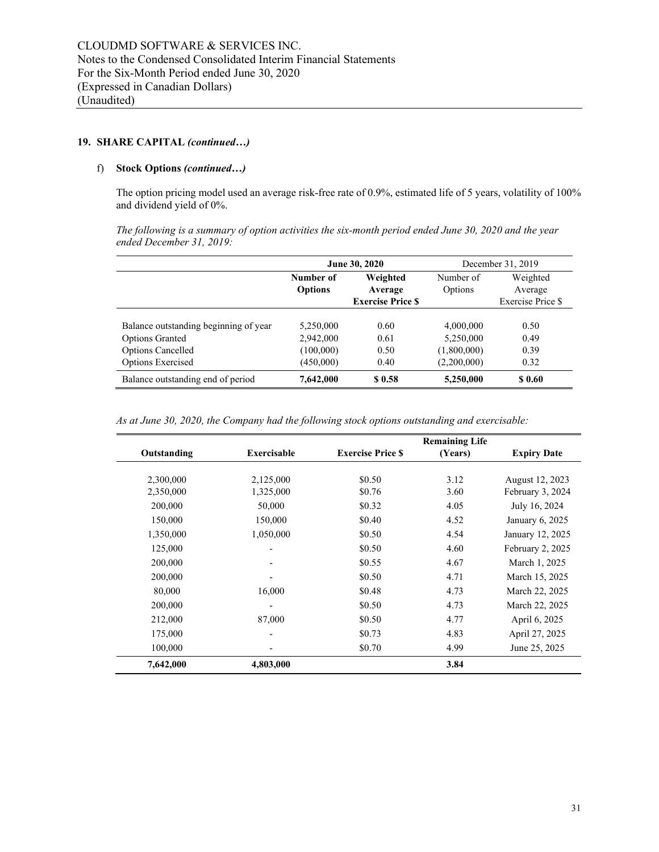## f) **Stock Options** *(continued…)*

The option pricing model used an average risk-free rate of 0.9%, estimated life of 5 years, volatility of 100% and dividend yield of 0%.

*The following is a summary of option activities the six-month period ended June 30, 2020 and the year ended December 31, 2019:*

|                                       |                | June 30, 2020           | December 31, 2019 |                   |  |
|---------------------------------------|----------------|-------------------------|-------------------|-------------------|--|
|                                       | Number of      | Weighted                | Number of         | Weighted          |  |
|                                       | <b>Options</b> | Average                 | Options           | Average           |  |
|                                       |                | <b>Exercise Price S</b> |                   | Exercise Price \$ |  |
|                                       |                |                         |                   |                   |  |
| Balance outstanding beginning of year | 5,250,000      | 0.60                    | 4,000,000         | 0.50              |  |
| <b>Options Granted</b>                | 2,942,000      | 0.61                    | 5,250,000         | 0.49              |  |
| <b>Options Cancelled</b>              | (100,000)      | 0.50                    | (1,800,000)       | 0.39              |  |
| <b>Options Exercised</b>              | (450,000)      | 0.40                    | (2,200,000)       | 0.32              |  |
| Balance outstanding end of period     | 7,642,000      | \$0.58                  | 5,250,000         | \$0.60            |  |

*As at June 30, 2020, the Company had the following stock options outstanding and exercisable:*

|             |                          |                         | <b>Remaining Life</b> |                    |
|-------------|--------------------------|-------------------------|-----------------------|--------------------|
| Outstanding | <b>Exercisable</b>       | <b>Exercise Price S</b> | (Years)               | <b>Expiry Date</b> |
|             |                          |                         |                       |                    |
| 2,300,000   | 2,125,000                | \$0.50                  | 3.12                  | August 12, 2023    |
| 2,350,000   | 1,325,000                | \$0.76                  | 3.60                  | February 3, 2024   |
| 200,000     | 50,000                   | \$0.32                  | 4.05                  | July 16, 2024      |
| 150,000     | 150,000                  | \$0.40                  | 4.52                  | January 6, 2025    |
| 1,350,000   | 1,050,000                | \$0.50                  | 4.54                  | January 12, 2025   |
| 125,000     |                          | \$0.50                  | 4.60                  | February 2, 2025   |
| 200,000     | -                        | \$0.55                  | 4.67                  | March 1, 2025      |
| 200,000     |                          | \$0.50                  | 4.71                  | March 15, 2025     |
| 80,000      | 16,000                   | \$0.48                  | 4.73                  | March 22, 2025     |
| 200,000     | $\overline{\phantom{a}}$ | \$0.50                  | 4.73                  | March 22, 2025     |
| 212,000     | 87,000                   | \$0.50                  | 4.77                  | April 6, 2025      |
| 175,000     | $\overline{\phantom{a}}$ | \$0.73                  | 4.83                  | April 27, 2025     |
| 100,000     |                          | \$0.70                  | 4.99                  | June 25, 2025      |
| 7,642,000   | 4,803,000                |                         | 3.84                  |                    |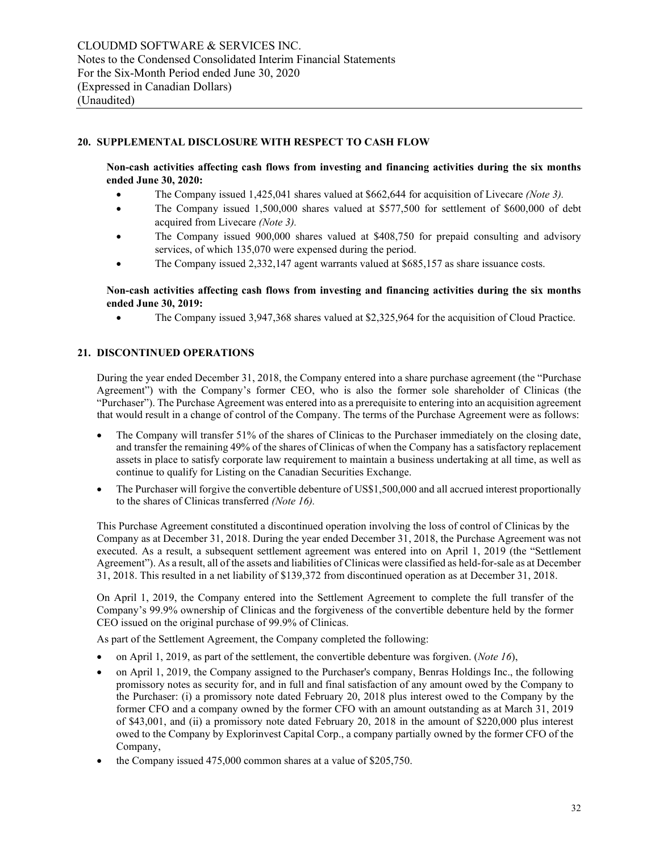## **20. SUPPLEMENTAL DISCLOSURE WITH RESPECT TO CASH FLOW**

**Non-cash activities affecting cash flows from investing and financing activities during the six months ended June 30, 2020:**

- The Company issued 1,425,041 shares valued at \$662,644 for acquisition of Livecare *(Note 3).*
- The Company issued 1,500,000 shares valued at \$577,500 for settlement of \$600,000 of debt acquired from Livecare *(Note 3).*
- The Company issued 900,000 shares valued at \$408,750 for prepaid consulting and advisory services, of which 135,070 were expensed during the period.
- The Company issued 2,332,147 agent warrants valued at \$685,157 as share issuance costs.

### **Non-cash activities affecting cash flows from investing and financing activities during the six months ended June 30, 2019:**

• The Company issued 3,947,368 shares valued at \$2,325,964 for the acquisition of Cloud Practice.

#### **21. DISCONTINUED OPERATIONS**

During the year ended December 31, 2018, the Company entered into a share purchase agreement (the "Purchase Agreement") with the Company's former CEO, who is also the former sole shareholder of Clinicas (the "Purchaser"). The Purchase Agreement was entered into as a prerequisite to entering into an acquisition agreement that would result in a change of control of the Company. The terms of the Purchase Agreement were as follows:

- The Company will transfer 51% of the shares of Clinicas to the Purchaser immediately on the closing date, and transfer the remaining 49% of the shares of Clinicas of when the Company has a satisfactory replacement assets in place to satisfy corporate law requirement to maintain a business undertaking at all time, as well as continue to qualify for Listing on the Canadian Securities Exchange.
- The Purchaser will forgive the convertible debenture of US\$1,500,000 and all accrued interest proportionally to the shares of Clinicas transferred *(Note 16).*

This Purchase Agreement constituted a discontinued operation involving the loss of control of Clinicas by the Company as at December 31, 2018. During the year ended December 31, 2018, the Purchase Agreement was not executed. As a result, a subsequent settlement agreement was entered into on April 1, 2019 (the "Settlement Agreement"). As a result, all of the assets and liabilities of Clinicas were classified as held-for-sale as at December 31, 2018. This resulted in a net liability of \$139,372 from discontinued operation as at December 31, 2018.

On April 1, 2019, the Company entered into the Settlement Agreement to complete the full transfer of the Company's 99.9% ownership of Clinicas and the forgiveness of the convertible debenture held by the former CEO issued on the original purchase of 99.9% of Clinicas.

As part of the Settlement Agreement, the Company completed the following:

- on April 1, 2019, as part of the settlement, the convertible debenture was forgiven. (*Note 16*),
- on April 1, 2019, the Company assigned to the Purchaser's company, Benras Holdings Inc., the following promissory notes as security for, and in full and final satisfaction of any amount owed by the Company to the Purchaser: (i) a promissory note dated February 20, 2018 plus interest owed to the Company by the former CFO and a company owned by the former CFO with an amount outstanding as at March 31, 2019 of \$43,001, and (ii) a promissory note dated February 20, 2018 in the amount of \$220,000 plus interest owed to the Company by Explorinvest Capital Corp., a company partially owned by the former CFO of the Company,
- the Company issued 475,000 common shares at a value of \$205,750.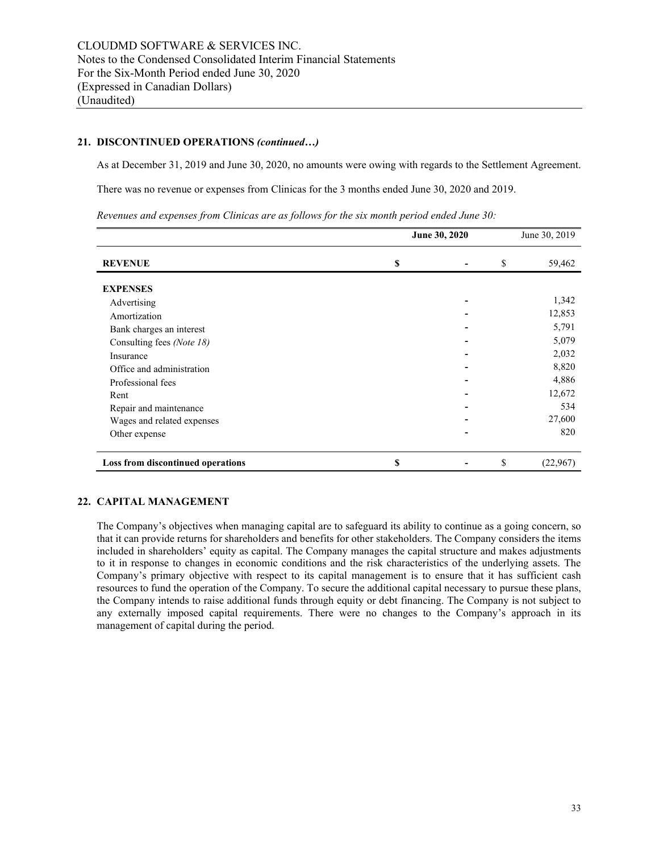#### **21. DISCONTINUED OPERATIONS** *(continued…)*

As at December 31, 2019 and June 30, 2020, no amounts were owing with regards to the Settlement Agreement.

There was no revenue or expenses from Clinicas for the 3 months ended June 30, 2020 and 2019.

*Revenues and expenses from Clinicas are as follows for the six month period ended June 30:*

|                                          | June 30, 2020 |    |          |
|------------------------------------------|---------------|----|----------|
| <b>REVENUE</b>                           | \$            | \$ | 59,462   |
| <b>EXPENSES</b>                          |               |    |          |
| Advertising                              |               |    | 1,342    |
| Amortization                             |               |    | 12,853   |
| Bank charges an interest                 |               |    | 5,791    |
| Consulting fees (Note 18)                |               |    | 5,079    |
| Insurance                                |               |    | 2,032    |
| Office and administration                |               |    | 8,820    |
| Professional fees                        |               |    | 4,886    |
| Rent                                     |               |    | 12,672   |
| Repair and maintenance                   |               |    | 534      |
| Wages and related expenses               |               |    | 27,600   |
| Other expense                            |               |    | 820      |
| <b>Loss from discontinued operations</b> | \$            | \$ | (22,967) |

#### **22. CAPITAL MANAGEMENT**

The Company's objectives when managing capital are to safeguard its ability to continue as a going concern, so that it can provide returns for shareholders and benefits for other stakeholders. The Company considers the items included in shareholders' equity as capital. The Company manages the capital structure and makes adjustments to it in response to changes in economic conditions and the risk characteristics of the underlying assets. The Company's primary objective with respect to its capital management is to ensure that it has sufficient cash resources to fund the operation of the Company. To secure the additional capital necessary to pursue these plans, the Company intends to raise additional funds through equity or debt financing. The Company is not subject to any externally imposed capital requirements. There were no changes to the Company's approach in its management of capital during the period.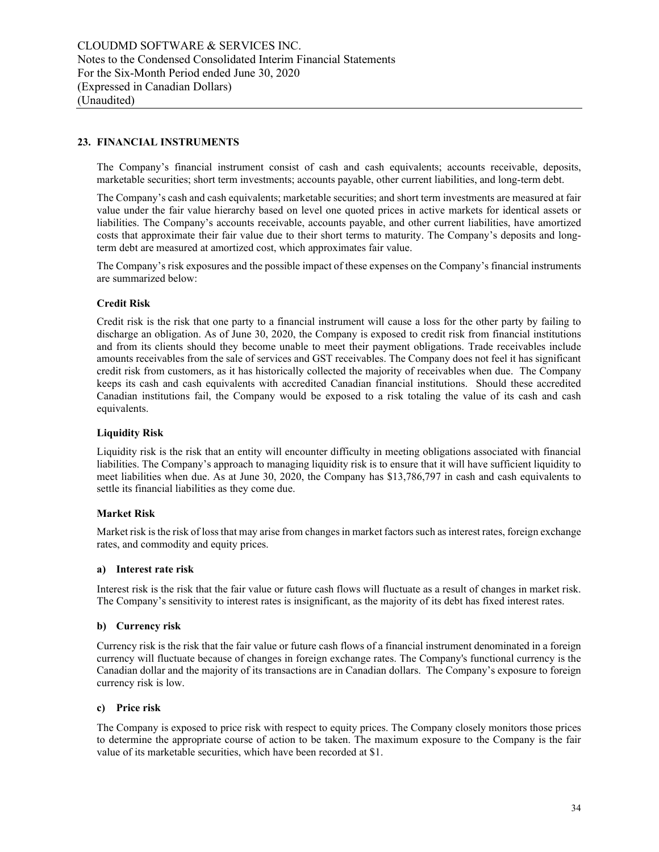## **23. FINANCIAL INSTRUMENTS**

The Company's financial instrument consist of cash and cash equivalents; accounts receivable, deposits, marketable securities; short term investments; accounts payable, other current liabilities, and long-term debt.

The Company's cash and cash equivalents; marketable securities; and short term investments are measured at fair value under the fair value hierarchy based on level one quoted prices in active markets for identical assets or liabilities. The Company's accounts receivable, accounts payable, and other current liabilities, have amortized costs that approximate their fair value due to their short terms to maturity. The Company's deposits and longterm debt are measured at amortized cost, which approximates fair value.

The Company's risk exposures and the possible impact of these expenses on the Company's financial instruments are summarized below:

#### **Credit Risk**

Credit risk is the risk that one party to a financial instrument will cause a loss for the other party by failing to discharge an obligation. As of June 30, 2020, the Company is exposed to credit risk from financial institutions and from its clients should they become unable to meet their payment obligations. Trade receivables include amounts receivables from the sale of services and GST receivables. The Company does not feel it has significant credit risk from customers, as it has historically collected the majority of receivables when due. The Company keeps its cash and cash equivalents with accredited Canadian financial institutions. Should these accredited Canadian institutions fail, the Company would be exposed to a risk totaling the value of its cash and cash equivalents.

#### **Liquidity Risk**

Liquidity risk is the risk that an entity will encounter difficulty in meeting obligations associated with financial liabilities. The Company's approach to managing liquidity risk is to ensure that it will have sufficient liquidity to meet liabilities when due. As at June 30, 2020, the Company has \$13,786,797 in cash and cash equivalents to settle its financial liabilities as they come due.

#### **Market Risk**

Market risk is the risk of loss that may arise from changes in market factors such as interest rates, foreign exchange rates, and commodity and equity prices.

#### **a) Interest rate risk**

Interest risk is the risk that the fair value or future cash flows will fluctuate as a result of changes in market risk. The Company's sensitivity to interest rates is insignificant, as the majority of its debt has fixed interest rates.

#### **b) Currency risk**

Currency risk is the risk that the fair value or future cash flows of a financial instrument denominated in a foreign currency will fluctuate because of changes in foreign exchange rates. The Company's functional currency is the Canadian dollar and the majority of its transactions are in Canadian dollars. The Company's exposure to foreign currency risk is low.

#### **c) Price risk**

The Company is exposed to price risk with respect to equity prices. The Company closely monitors those prices to determine the appropriate course of action to be taken. The maximum exposure to the Company is the fair value of its marketable securities, which have been recorded at \$1.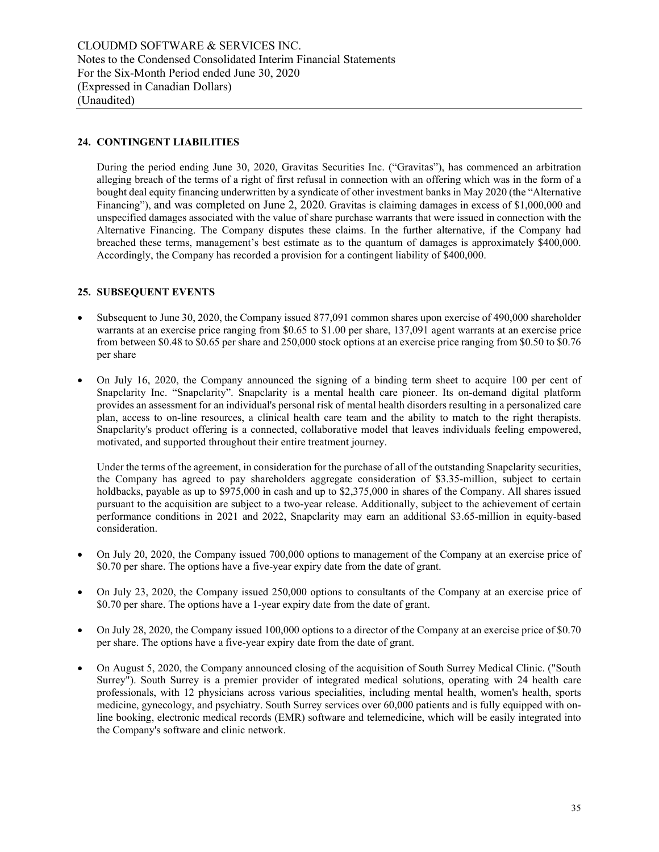## **24. CONTINGENT LIABILITIES**

During the period ending June 30, 2020, Gravitas Securities Inc. ("Gravitas"), has commenced an arbitration alleging breach of the terms of a right of first refusal in connection with an offering which was in the form of a bought deal equity financing underwritten by a syndicate of other investment banks in May 2020 (the "Alternative Financing"), and was completed on June 2, 2020. Gravitas is claiming damages in excess of \$1,000,000 and unspecified damages associated with the value of share purchase warrants that were issued in connection with the Alternative Financing. The Company disputes these claims. In the further alternative, if the Company had breached these terms, management's best estimate as to the quantum of damages is approximately \$400,000. Accordingly, the Company has recorded a provision for a contingent liability of \$400,000.

#### **25. SUBSEQUENT EVENTS**

- Subsequent to June 30, 2020, the Company issued 877,091 common shares upon exercise of 490,000 shareholder warrants at an exercise price ranging from \$0.65 to \$1.00 per share, 137,091 agent warrants at an exercise price from between \$0.48 to \$0.65 per share and 250,000 stock options at an exercise price ranging from \$0.50 to \$0.76 per share
- On July 16, 2020, the Company announced the signing of a binding term sheet to acquire 100 per cent of Snapclarity Inc. "Snapclarity". Snapclarity is a mental health care pioneer. Its on-demand digital platform provides an assessment for an individual's personal risk of mental health disorders resulting in a personalized care plan, access to on-line resources, a clinical health care team and the ability to match to the right therapists. Snapclarity's product offering is a connected, collaborative model that leaves individuals feeling empowered, motivated, and supported throughout their entire treatment journey.

Under the terms of the agreement, in consideration for the purchase of all of the outstanding Snapclarity securities, the Company has agreed to pay shareholders aggregate consideration of \$3.35-million, subject to certain holdbacks, payable as up to \$975,000 in cash and up to \$2,375,000 in shares of the Company. All shares issued pursuant to the acquisition are subject to a two-year release. Additionally, subject to the achievement of certain performance conditions in 2021 and 2022, Snapclarity may earn an additional \$3.65-million in equity-based consideration.

- On July 20, 2020, the Company issued 700,000 options to management of the Company at an exercise price of \$0.70 per share. The options have a five-year expiry date from the date of grant.
- On July 23, 2020, the Company issued 250,000 options to consultants of the Company at an exercise price of \$0.70 per share. The options have a 1-year expiry date from the date of grant.
- On July 28, 2020, the Company issued 100,000 options to a director of the Company at an exercise price of \$0.70 per share. The options have a five-year expiry date from the date of grant.
- On August 5, 2020, the Company announced closing of the acquisition of South Surrey Medical Clinic. ("South Surrey"). South Surrey is a premier provider of integrated medical solutions, operating with 24 health care professionals, with 12 physicians across various specialities, including mental health, women's health, sports medicine, gynecology, and psychiatry. South Surrey services over 60,000 patients and is fully equipped with online booking, electronic medical records (EMR) software and telemedicine, which will be easily integrated into the Company's software and clinic network.